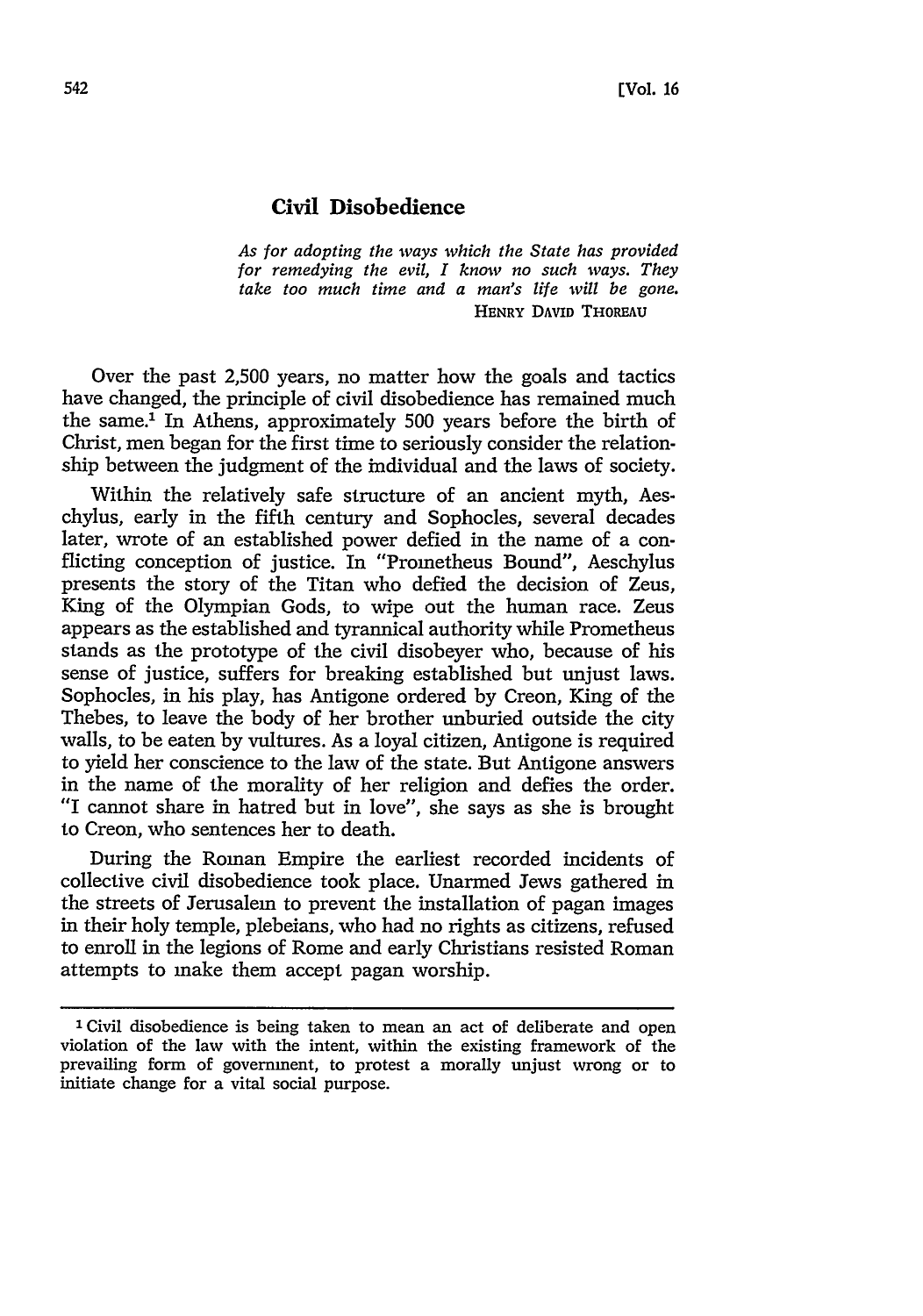## **Civil Disobedience**

*As for adopting the ways which the State has provided for remedying the evil, I know no such ways. They take too much time and a man's life will be gone.* **HENRY DAVID THOREAU**

Over the past 2,500 years, no matter how the goals and tactics have changed, the principle of civil disobedience has remained much the same.' In Athens, approximately 500 years before the birth of Christ, men began for the first time to seriously consider the relationship between the judgment of the individual and the laws of society.

Within the relatively safe structure of an ancient myth, Aeschylus, early in the fifth century and Sophocles, several decades later, wrote of an established power defied in the name of a conflicting conception of justice. In "Prometheus Bound", Aeschylus presents the story of the Titan who defied the decision of Zeus, King of the Olympian Gods, to wipe out the human race. Zeus appears as the established and tyrannical authority while Prometheus stands as the prototype of the civil disobeyer who, because of his sense of justice, suffers for breaking established but unjust laws. Sophocles, in his play, has Antigone ordered by Creon, King of the Thebes, to leave the body of her brother unburied outside the city walls, to be eaten by vultures. As a loyal citizen, Antigone is required to yield her conscience to the law of the state. But Antigone answers in the name of the morality of her religion and defies the order. "I cannot share in hatred but in love", she says as she is brought to Creon, who sentences her to death.

During the Roman Empire the earliest recorded incidents of collective civil disobedience took place. Unarmed Jews gathered in the streets of Jerusalem to prevent the installation of pagan images in their holy temple, plebeians, who had no rights as citizens, refused to enroll in the legions of Rome and early Christians resisted Roman attempts to make them accept pagan worship.

<sup>&#</sup>x27;Civil disobedience is being taken to mean an act of deliberate and open violation of the law with the intent, within the existing framework of the prevailing form of government, to protest a morally unjust wrong or to initiate change for a vital social purpose.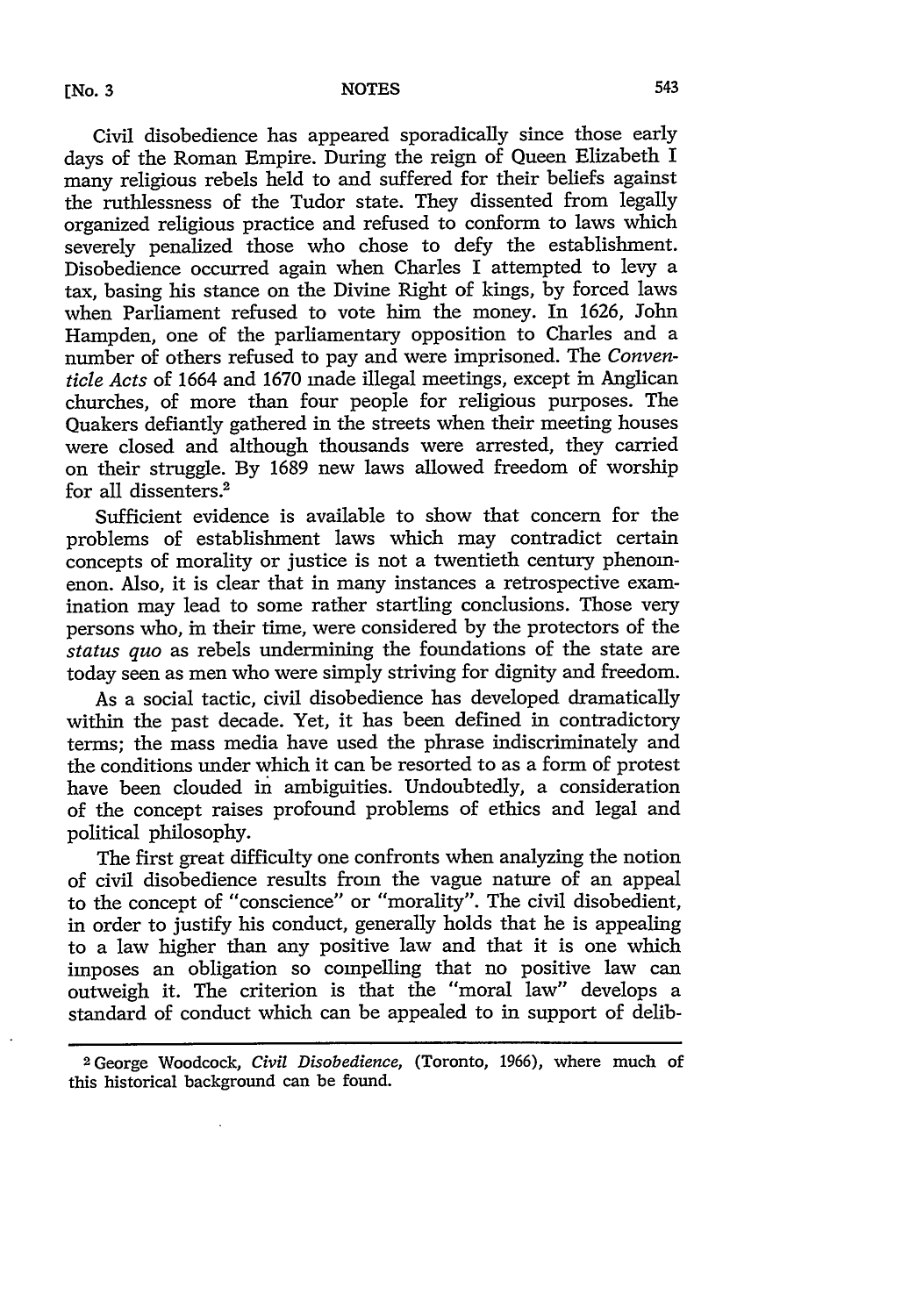Civil disobedience has appeared sporadically since those early days of the Roman Empire. During the reign of Queen Elizabeth I many religious rebels held to and suffered for their beliefs against the ruthlessness of the Tudor state. They dissented from legally organized religious practice and refused to conform to laws which severely penalized those who chose to defy the establishment. Disobedience occurred again when Charles I attempted to levy a tax, basing his stance on the Divine Right of kings, by forced laws when Parliament refused to vote him the money. In 1626, John Hampden, one of the parliamentary opposition to Charles and a number of others refused to pay and were imprisoned. The *Conventicle Acts* of 1664 and 1670 made illegal meetings, except in Anglican churches, of more than four people for religious purposes. The Quakers defiantly gathered in the streets when their meeting houses were closed and although thousands were arrested, they carried on their struggle. By 1689 new laws allowed freedom of worship for all dissenters.<sup>2</sup>

Sufficient evidence is available to show that concern for the problems of establishment laws which may contradict certain concepts of morality or justice is not a twentieth century phenomenon. Also, it is clear that in many instances a retrospective examination may lead to some rather startling conclusions. Those very persons who, in their time, were considered by the protectors of the *status quo* as rebels undermining the foundations of the state are today seen as men who were simply striving for dignity and freedom.

As a social tactic, civil disobedience has developed dramatically within the past decade. Yet, it has been defined in contradictory terms; the mass media have used the phrase indiscriminately and the conditions under which it can be resorted to as a form of protest have been clouded in ambiguities. Undoubtedly, a consideration of the concept raises profound problems of ethics and legal and political philosophy.

The first great difficulty one confronts when analyzing the notion of civil disobedience results from the vague nature of an appeal to the concept of "conscience" or "morality". The civil disobedient, in order to justify his conduct, generally holds that he is appealing to a law higher than any positive law and that it is one which imposes an obligation so compelling that no positive law can outweigh it. The criterion is that the "moral law" develops a standard of conduct which can be appealed to in support of delib-

**<sup>2</sup>** George Woodcock, *Civil Disobedience,* (Toronto, 1966), where much of this historical background can be found.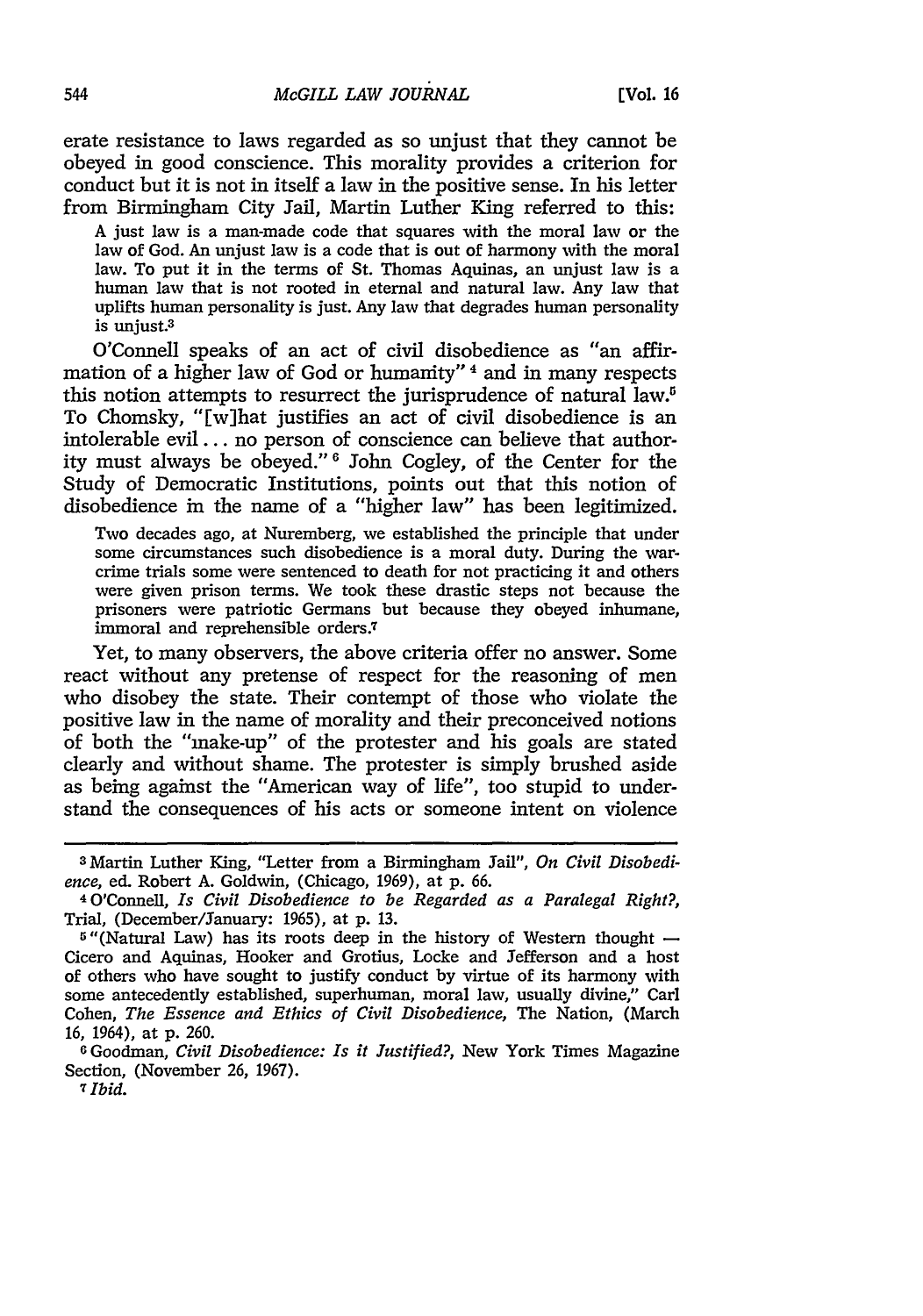erate resistance to laws regarded as so unjust that they cannot be obeyed in good conscience. This morality provides a criterion for conduct but it is not in itself a law in the positive sense. In his letter from Birmingham City Jail, Martin Luther King referred to this:

A just law is a man-made code that squares with the moral law or the law of God. An unjust law is a code that is out of harmony with the moral law. To put it in the terms of St. Thomas Aquinas, an unjust law is a human law that is not rooted in eternal and natural law. Any law that uplifts human personality is just. Any law that degrades human personality is uniust.<sup>3</sup>

O'Connell speaks of an act of civil disobedience as "an affirmation of a higher law of God or humanity" 4 and in many respects this notion attempts to resurrect the jurisprudence of natural law.<sup>5</sup> To Chomsky, "[w]hat justifies an act of civil disobedience is an intolerable evil.., no person of conscience can believe that authority must always be obeyed." 6 John Cogley, of the Center for the Study of Democratic Institutions, points out that this notion of disobedience in the name of a "higher law" has been legitimized.

Two decades ago, at Nuremberg, we established the principle that under some circumstances such disobedience is a moral duty. During the warcrime trials some were sentenced to death for not practicing it and others were given prison terms. We took these drastic steps not because the prisoners were patriotic Germans but because they obeyed inhumane, immoral and reprehensible orders.<sup>7</sup>

Yet, to many observers, the above criteria offer no answer. Some react without any pretense of respect for the reasoning of men who disobey the state. Their contempt of those who violate the positive law in the name of morality and their preconceived notions of both the "make-up" of the protester and his goals are stated clearly and without shame. The protester is simply brushed aside as being against the "American way of life", too stupid to understand the consequences of his acts or someone intent on violence

<sup>3</sup> Martin Luther King, "Letter from a Birmingham Jail", *On Civil Disobedience,* ed. Robert A. Goldwin, (Chicago, 1969), at p. 66. <sup>4</sup> 0'Connell, *Is Civil Disobedience to be Regarded as a Paralegal Right?,*

Trial, (December/January: 1965), at p. 13.

 $5$ "(Natural Law) has its roots deep in the history of Western thought  $-$ Cicero and Aquinas, Hooker and Grotius, Locke and Jefferson and a host of others who have sought to justify conduct by virtue of its harmony with some antecedently established, superhuman, moral law, usually divine," Carl Cohen, *The Essence and Ethics of Civil Disobedience,* The Nation, (March 16, 1964), at p. 260.

**<sup>6</sup>**Goodman, *Civil Disobedience: Is it Justified?,* New York Times Magazine Section, (November 26, 1967).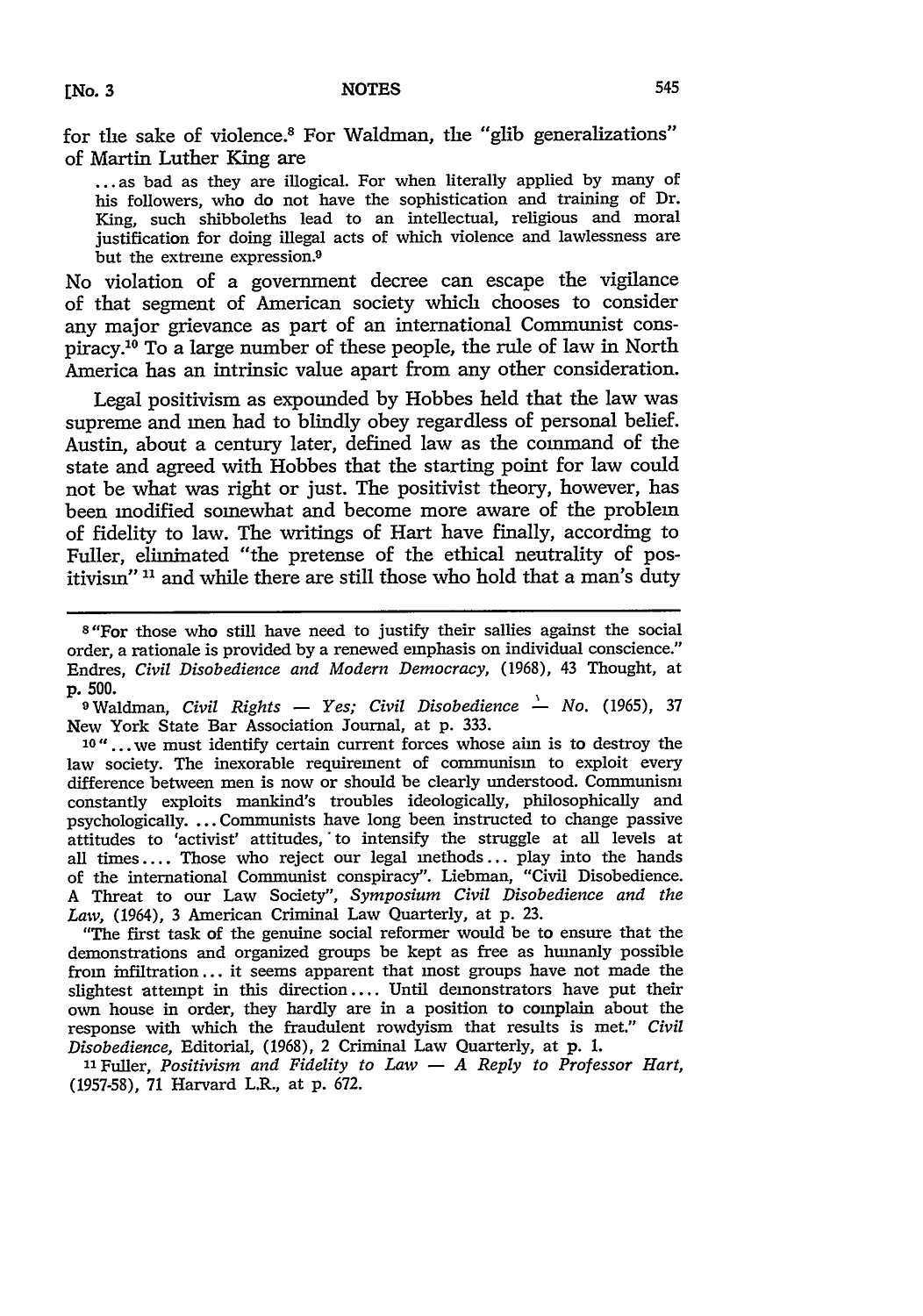for the sake of violence.<sup>8</sup> For Waldman, the "glib generalizations" of Martin Luther King are

**...** as bad as they are illogical. For when literally applied by many of his followers, who do not have the sophistication and training of Dr. King, such shibboleths lead to an intellectual, religious and moral justification for doing illegal acts of which violence and lawlessness are but the extreme expression.<sup>9</sup>

No violation of a government decree can escape the vigilance of that segment of American society which chooses to consider any major grievance as part of an international Communist conspiracy.<sup>10</sup> To a large number of these people, the rule of law in North America has an intrinsic value apart from any other consideration.

Legal positivism as expounded by Hobbes held that the law was supreme and men had to blindly obey regardless of personal belief. Austin, about a century later, defined law as the command of the state and agreed with Hobbes that the starting point for law could not be what was right or just. The positivist theory, however, has been modified somewhat and become more aware of the problem of fidelity to law. The writings of Hart have finally, according to Fuller, eliminated "the pretense of the ethical neutrality of positivism" **11** and while there are still those who hold that a man's duty

**10"...** we must identify certain current forces whose aim is to destroy the law society. The inexorable requirement of communism to exploit every difference between men is now or should be clearly understood. Communism constantly exploits mankind's troubles ideologically, philosophically and psychologically. ... Communists have long been instructed to change passive attitudes to 'activist' attitudes, to intensify the struggle at all levels at all times .... Those who reject our legal methods... play into the hands of the international Communist conspiracy". Liebman, "Civil Disobedience. A Threat to our Law Society", *Symposium Civil Disobedience and the Law,* (1964), 3 American Criminal Law Quarterly, at p. 23.

"The first task of the genuine social reformer would be to ensure that the demonstrations and organized groups be kept as free as humanly possible from infiltration... it seems apparent that most groups have not made the slightest attempt in this direction .... Until demonstrators have put their own house in order, they hardly are in a position to complain about the response with which the fraudulent rowdyism that results is met." *Civil Disobedience,* Editorial, (1968), 2 Criminal Law Quarterly, at **p. 1.**

"Fuller, *Positivism and Fidelity to Law* **-** *A Reply to Professor Hart,* (1957-58), 71 Harvard L.R., at p. 672.

<sup>8</sup> "For those who still have need to justify their sallies against the social order, a rationale is provided by a renewed emphasis on individual conscience." Endres, *Civil Disobedience and Modern Democracy,* (1968), 43 Thought, at **p. 500.**

OWaldman, *Civil Rights* **-** *Yes; Civil Disobedience \_- No.* (1965), **<sup>37</sup>** New York State Bar Association Journal, at p. 333.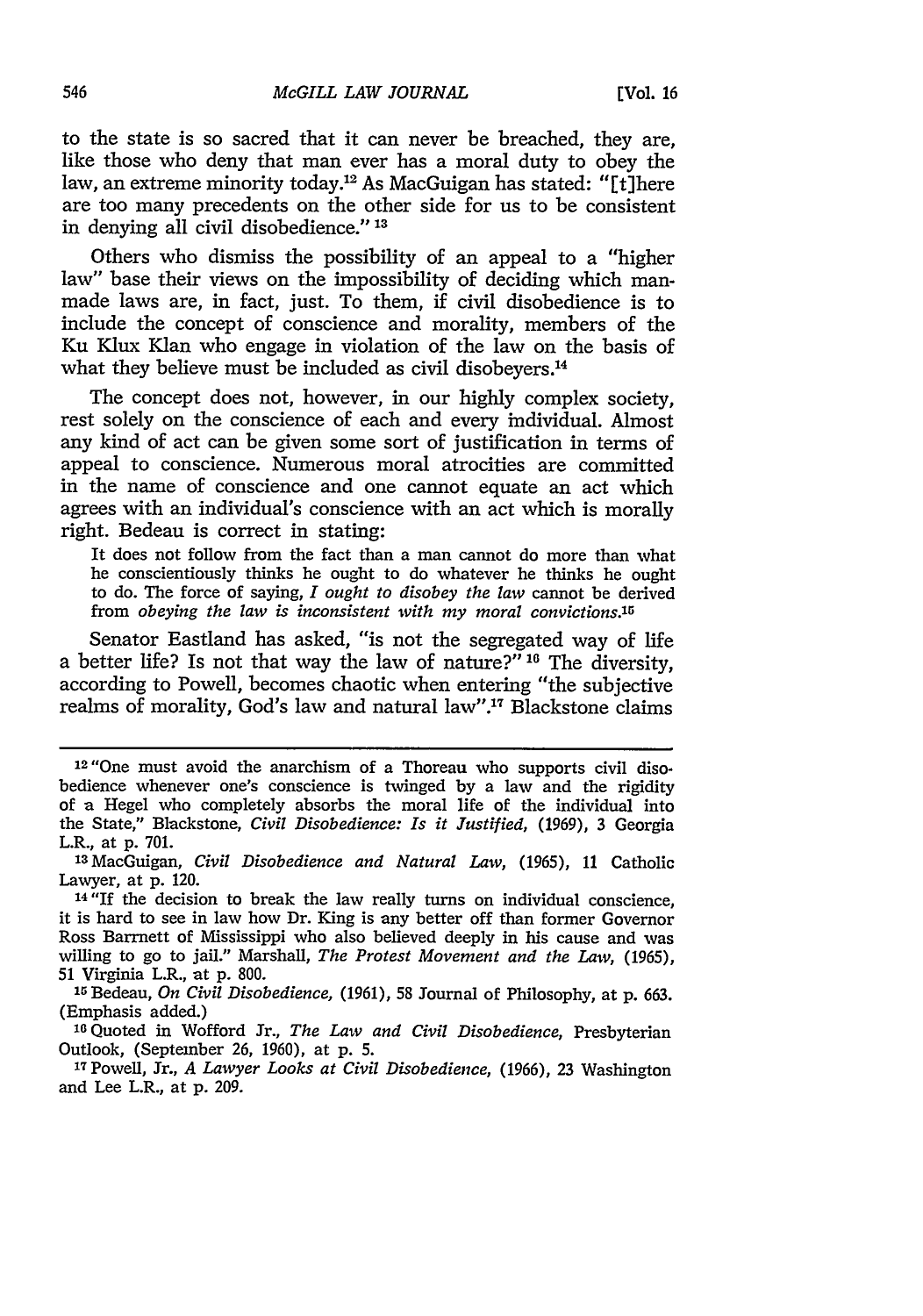to the state is so sacred that it can never be breached, they are, like those who deny that man ever has a moral duty to obey the law, an extreme minority today.12 As MacGuigan has stated: "[t]here are too many precedents on the other side for us to be consistent in denying all civil disobedience." **' 3**

Others who dismiss the possibility of an appeal to a "higher law" base their views on the impossibility of deciding which manmade laws are, in fact, just. To them, if civil disobedience is to include the concept of conscience and morality, members of the Ku Klux Klan who engage in violation of the law on the basis of what they believe must be included as civil disobeyers.<sup>14</sup>

The concept does not, however, in our highly complex society, rest solely on the conscience of each and every individual. Almost any kind of act can be given some sort of justification in terms of appeal to conscience. Numerous moral atrocities are committed in the name of conscience and one cannot equate an act which agrees with an individual's conscience with an act which is morally right. Bedeau is correct in stating:

It does not follow from the fact than a man cannot do more than what he conscientiously thinks he ought to do whatever he thinks he ought to do. The force of saying, *I ought to disobey the law* cannot be derived from *obeying the law is inconsistent with my moral convictions.5*

Senator Eastland has asked, "is not the segregated way of life a better life? Is not that way the law of nature?"<sup>16</sup> The diversity, according to Powell, becomes chaotic when entering "the subjective realms of morality, God's law and natural law".17 Blackstone claims

<sup>&</sup>lt;sup>12</sup> "One must avoid the anarchism of a Thoreau who supports civil disobedience whenever one's conscience is twinged by a law and the rigidity of a Hegel who completely absorbs the moral life of the individual into the State," Blackstone, *Civil Disobedience: Is it Justified,* (1969), 3 Georgia L.R., at p. 701.

<sup>1</sup> <sup>3</sup> MacGuigan, *Civil Disobedience and Natural Law,* (1965), 11 Catholic Lawyer, at p. 120.

<sup>14&</sup>quot;If the decision to break the law really turns on individual conscience, it is hard to see in law how Dr. King is any better off than former Governor Ross Barrnett of Mississippi who also believed deeply in his cause and was willing to go to jail." Marshall, *The Protest Movement and the Law,* (1965), 51 Virginia L.R., at p. 800.

**<sup>15</sup>**Bedeau, *On Civil Disobedience,* (1961), 58 Journal of Philosophy, at p. 663. (Emphasis added.)

<sup>16</sup>Quoted in Wofford Jr., *The Law and Civil Disobedience,* Presbyterian Outlook, (September 26, 1960), at p. 5.

<sup>1</sup> <sup>7</sup> Powell, Jr., *A Lawyer Looks at Civil Disobedience,* (1966), 23 Washington and Lee L.R., at p. 209.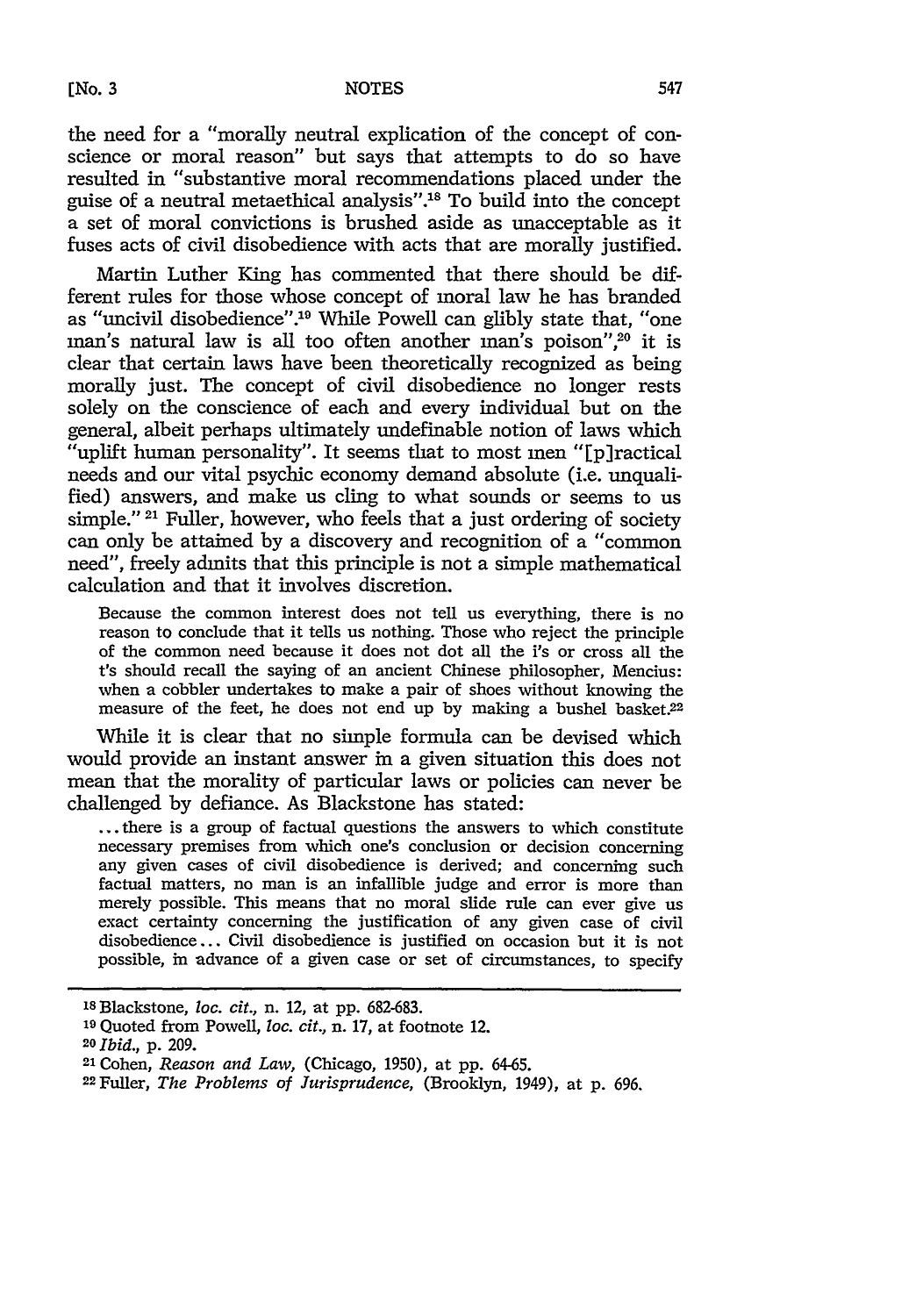## **[No. 3 NOTES**

the need for a "morally neutral explication of the concept of conscience or moral reason" but says that attempts to do so have resulted in "substantive moral recommendations placed under the guise of a neutral metaethical analysis"."8 To build into the concept a set of moral convictions is brushed aside as unacceptable as it fuses acts of civil disobedience with acts that are morally justified.

Martin Luther King has commented that there should be different rules for those whose concept of moral law he has branded as "uncivil disobedience".<sup>19</sup> While Powell can glibly state that, "one man's natural law is all too often another man's poison",<sup>20</sup> it is clear that certain laws have been theoretically recognized as being morally just. The concept of civil disobedience no longer rests solely on the conscience of each and every individual but on the general, albeit perhaps ultimately undefinable notion of laws which "uplift human personality". It seems that to most men "[p]ractical needs and our vital psychic economy demand absolute (i.e. unqualified) answers, and make us cling to what sounds or seems to us simple." **21** Fuller, however, who feels that a just ordering of society can only be attained by a discovery and recognition of a "common need", freely admits that this principle is not a simple mathematical calculation and that it involves discretion.

Because the common interest does not tell us everything, there is no reason to conclude that it tells us nothing. Those who reject the principle of the common need because it does not dot all the i's or cross all the t's should recall the saying of an ancient Chinese philosopher, Mencius: when a cobbler undertakes to make a pair of shoes without knowing the measure of the feet, he does not end up by making a bushel basket.<sup>22</sup>

While it is clear that no simple formula can be devised which would provide an instant answer in a given situation this does not mean that the morality of particular laws or policies can never be challenged by defiance. As Blackstone has stated:

... there is a group of factual questions the answers to which constitute necessary premises from which one's conclusion or decision concerning any given cases of civil disobedience is derived; and concerning such factual matters, no man is an infallible judge and error is more than merely possible. This means that no moral slide rule can ever give us exact certainty concerning the justification of any given case of civil disobedience... Civil disobedience is justified on occasion but it is not possible, in advance of a given case or set of circumstances, to specify

<sup>&#</sup>x27;sBlackstone, *loc. cit.,* n. 12, at pp. 682-683.

**<sup>1</sup> <sup>9</sup>**Quoted from Powell, *loc. cit.,* n. 17, at footnote 12.

*<sup>20</sup>Ibid.,* p. 209.

<sup>21</sup>Cohen, *Reason and Law,* (Chicago, 1950), at pp. 64-65.

<sup>22</sup>Fuller, *The Problems of Jurisprudence,* (Brooklyn, 1949), at p. 696.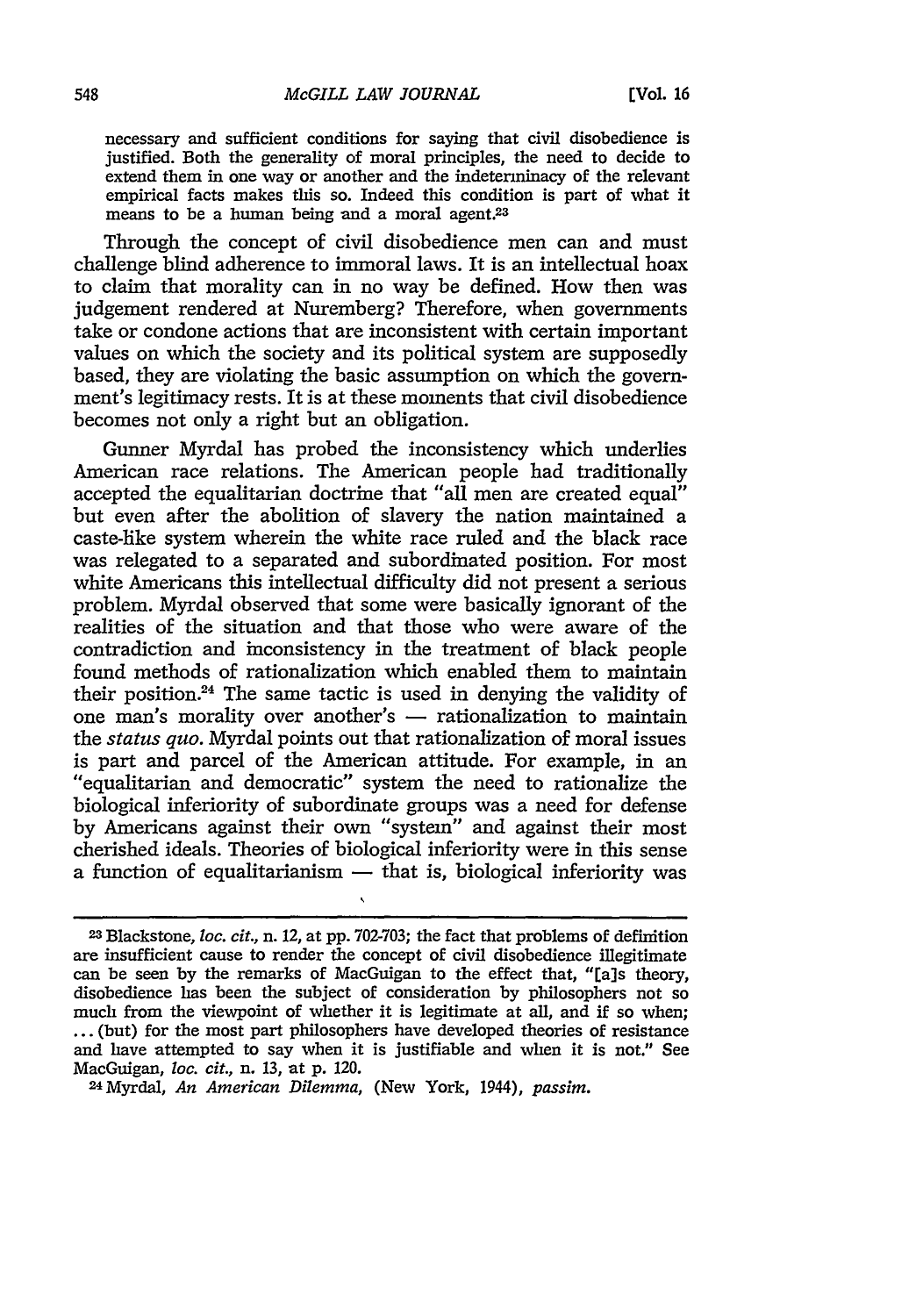necessary and sufficient conditions for saying that civil disobedience is justified. Both the generality of moral principles, the need to decide to extend them in one way or another and the indeterminacy of the relevant empirical facts makes this so. Indeed this condition is part of what it means to be a human being and a moral agent.<sup>23</sup>

Through the concept of civil disobedience men can and must challenge blind adherence to immoral laws. It is an intellectual hoax to claim that morality can in no way be defined. How then was judgement rendered at Nuremberg? Therefore, when governments take or condone actions that are inconsistent with certain important values on which the society and its political system are supposedly based, they are violating the basic assumption on which the government's legitimacy rests. It is at these moments that civil disobedience becomes not only a right but an obligation.

Gunner Myrdal has probed the inconsistency which underlies American race relations. The American people had traditionally accepted the equalitarian doctrine that "all men are created equal" but even after the abolition of slavery the nation maintained a caste-like system wherein the white race ruled and the black race was relegated to a separated and subordinated position. For most white Americans this intellectual difficulty did not present a serious problem. Myrdal observed that some were basically ignorant of the realities of the situation and that those who were aware of the contradiction and inconsistency in the treatment of black people found methods of rationalization which enabled them to maintain their position.24 The same tactic is used in denying the validity of one man's morality over another's  $-$  rationalization to maintain the *status quo.* Myrdal points out that rationalization of moral issues is part and parcel of the American attitude. For example, in an "equalitarian and democratic" system the need to rationalize the biological inferiority of subordinate groups was a need for defense by Americans against their own "system" and against their most cherished ideals. Theories of biological inferiority were in this sense a function of equalitarianism  $-$  that is, biological inferiority was

<sup>2</sup> <sup>3</sup> Blackstone, *loc. cit.,* n. 12, at pp. 702-703; the fact that problems of definition are insufficient cause to render the concept of civil disobedience illegitimate can be seen by the remarks of MacGuigan to the effect that, "[a]s theory, disobedience has been the subject of consideration by philosophers not so much from the viewpoint of whether it is legitimate at all, and if so when: ... (but) for the most part philosophers have developed theories of resistance and have attempted to say when it is justifiable and when it is not." See MacGuigan, *loc. cit.,* n. 13, at p. 120. <sup>24</sup> Myrdal, *An American Dilemma,* (New York, 1944), *passim.*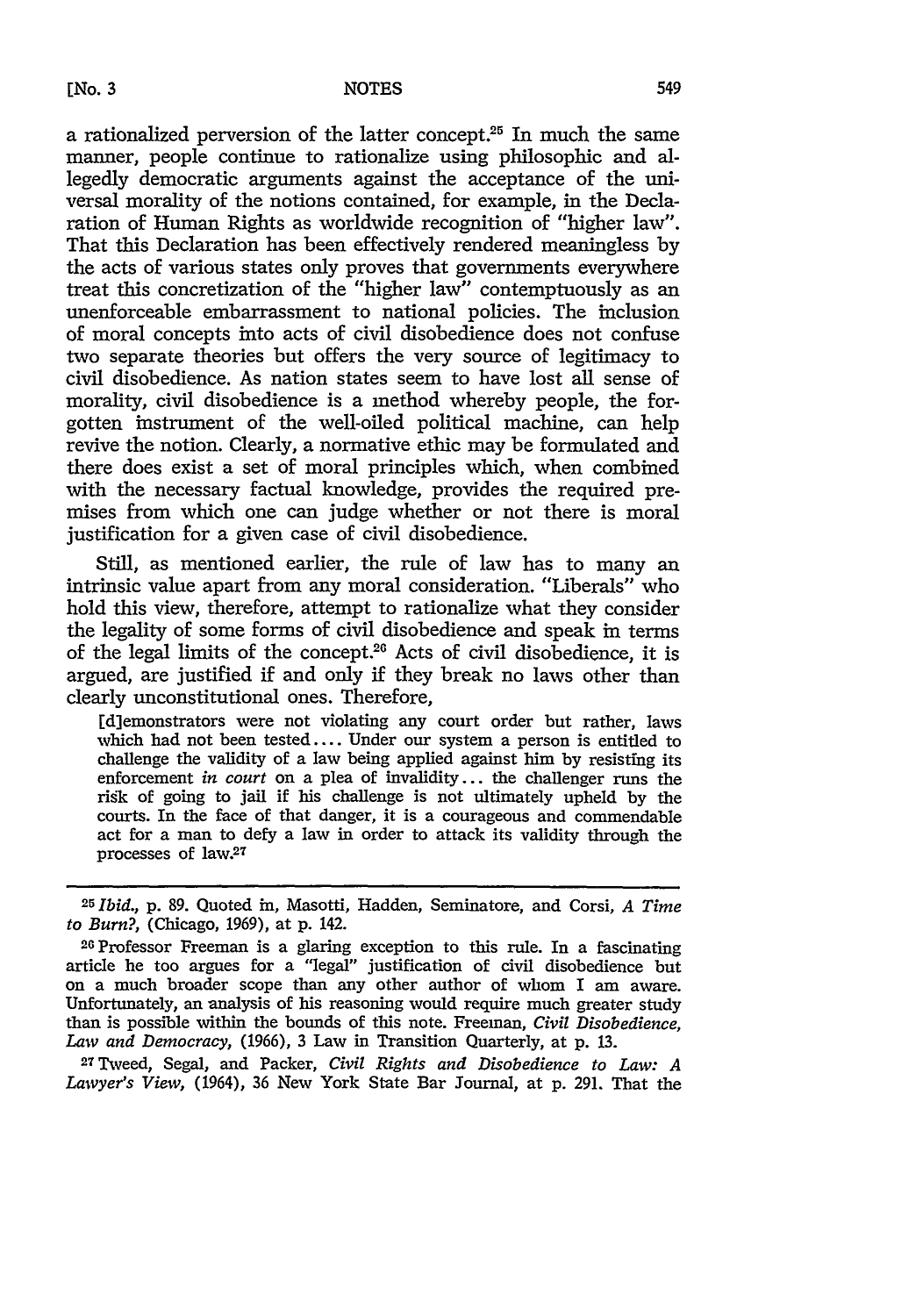a rationalized perversion of the latter concept.25 In much the same manner, people continue to rationalize using philosophic and allegedly democratic arguments against the acceptance of the universal morality of the notions contained, for example, in the Declaration of Human Rights as worldwide recognition of "higher **law".** That this Declaration has been effectively rendered meaningless **by** the acts of various states only proves that governments everywhere treat this concretization of the "higher law" contemptuously as an unenforceable embarrassment to national policies. The inclusion of moral concepts into acts of civil disobedience does not confuse two separate theories but offers the very source of legitimacy to civil disobedience. As nation states seem to have lost all sense of morality, civil disobedience is a method whereby people, the forgotten instrument of the well-oiled political machine, can help revive the notion. Clearly, a normative ethic may be formulated and there does exist a set of moral principles which, when combined with the necessary factual knowledge, provides the required premises from which one can judge whether or not there is moral justification for a given case of civil disobedience.

Still, as mentioned earlier, the rule of law has to many an intrinsic value apart from any moral consideration. "Liberals" who hold this view, therefore, attempt to rationalize what they consider the legality of some forms of civil disobedience and speak in terms of the legal limits of the concept.<sup>26</sup> Acts of civil disobedience, it is argued, are justified if and only if they break no laws other than clearly unconstitutional ones. Therefore,

[d]emonstrators were not violating any court order but rather, laws which had not been tested.... Under our system a person is entitled to challenge the validity of a law being applied against him **by** resisting its enforcement *in court* on a plea of invalidity.., the challenger runs the ridk of going to **jail** if his challenge is not ultimately upheld **by** the courts. In the face of that danger, it is a courageous and commendable act for a man to defy a law in order to attack its validity through the processes of law.27

27T-veed, Segal, and Packer, *Civil Rights and Disobedience to Law: A Lawyer's View,* (1964), **36** New York State Bar Journal, at **p. 291.** That the

*<sup>25</sup>Ibid.,* **p. 89.** Quoted in, Masotti, Hadden, Seminatore, and Corsi, *A Time to Burm,* (Chicago, **1969),** at **p.** 142.

**<sup>26</sup>**Professor Freeman is a glaring exception to this rule. In a fascinating article he too argues for a "legal" justification of civil disobedience but on a much broader scope than any other author of whom I am aware. Unfortunately, an analysis of his reasoning would require much greater study than is possible within the bounds of this note. Freeman, *Civil Disobedience, Law and Democracy,* **(1966), 3** Law in Transition Quarterly, at **p. 13.**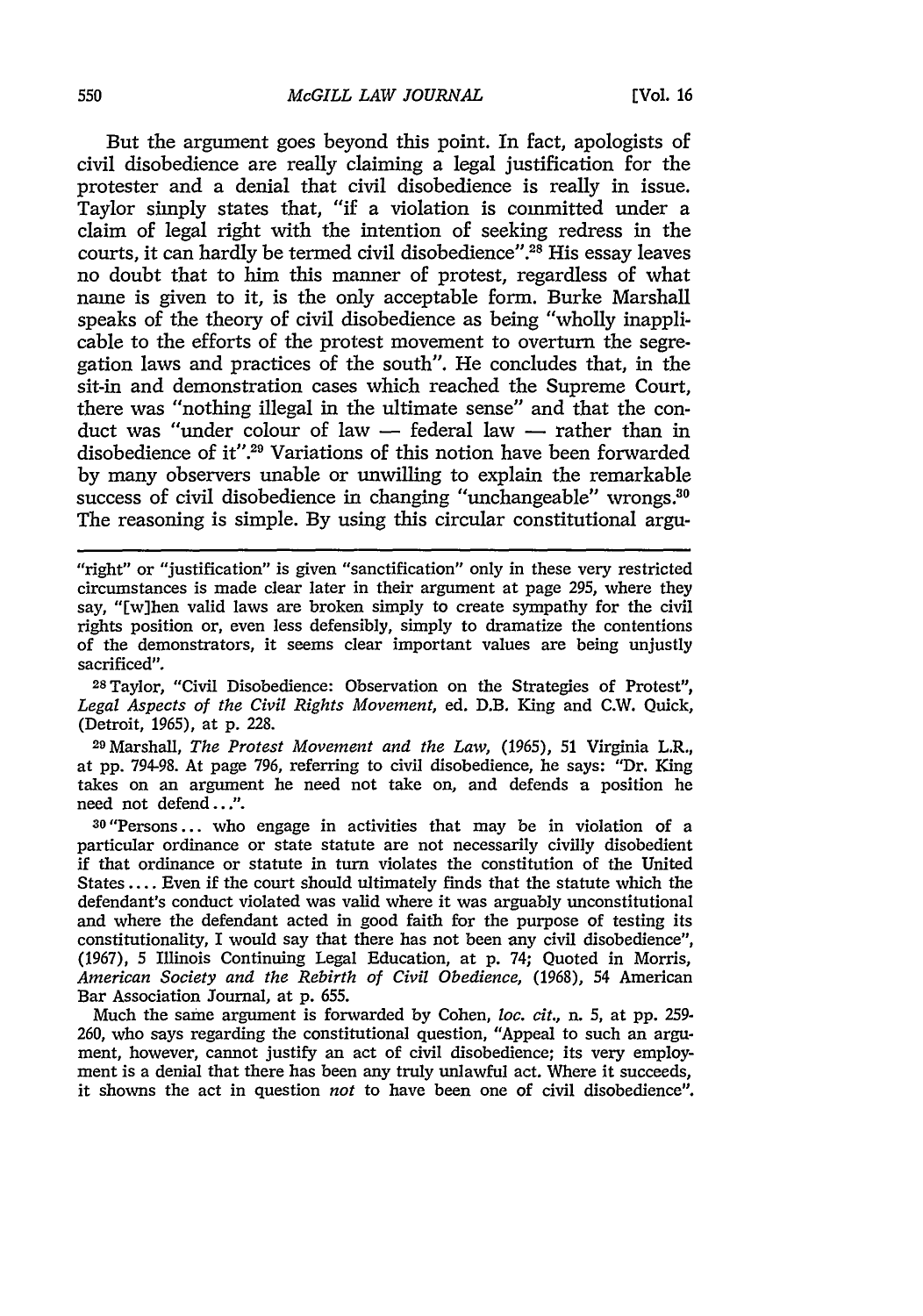But the argument goes beyond this point. In fact, apologists of civil disobedience are really claiming a legal justification for the protester and a denial that civil disobedience is really in issue. Taylor simply states that, "if a violation is committed under a claim of legal right with the intention of seeking redress in the courts, it can hardly be termed civil disobedience". 28 His essay leaves no doubt that to him this manner of protest, regardless of what name is given to it, is the only acceptable form. Burke Marshall speaks of the theory of civil disobedience as being "wholly inapplicable to the efforts of the protest movement to overturn the segregation laws and practices of the south". He concludes that, in the sit-in and demonstration cases which reached the Supreme Court, there was "nothing illegal in the ultimate sense" and that the conduct was "under colour of law **-** federal law **-** rather than in disobedience of it".<sup>29</sup> Variations of this notion have been forwarded **by** many observers unable or unwilling to explain the remarkable success of civil disobedience in changing "unchangeable" wrongs.<sup>30</sup> The reasoning is simple. **By** using this circular constitutional argu-

"right" or "justification" is given "sanctification" only in these very restricted circumstances is made clear later in their argument at page **295,** where they say, **"[w]hen** valid laws are broken simply to create sympathy for the civil rights position or, even less defensibly, simply to dramatize the contentions of the demonstrators, it seems clear important values are being unjustly sacrificed".

<sup>28</sup> Taylor, "Civil Disobedience: Observation on the Strategies of Protest", *Legal Aspects of the Civil Rights Movement,* ed. D.B. King and C.W. Quick, (Detroit, **1965),** at **p. 228.**

<sup>29</sup> Marshall, *The Protest Movement and the Law,* **(1965), 51** Virginia L.R., at **pp. 794-98.** At page **796,** referring to civil disobedience, he says: "Dr. King takes on an argument he need not take on, and defends a position he need not defend...".

**30"Persons...** who engage in activities that may be in violation of a particular ordinance or state statute are not necessarily civilly disobedient if that ordinance or statute in turn violates the constitution of the United States **....** Even if the court should ultimately finds that the statute which the defendant's conduct violated was valid where it was arguably unconstitutional and where the defendant acted in good faith for the purpose of testing its constitutionality, I would say that there has not been any civil disobedience", **(1967), 5** Illinois Continuing Legal Education, at **p.** 74; Quoted in Morris, *American Society and the Rebirth of Civil Obedience,* **(1968),** 54 American Bar Association Journal, at **p. 655.**

Much the same argument is forwarded **by** Cohen, *loc. cit.,* n. **5,** at **pp. 259- 260,** who says regarding the constitutional question, "Appeal to such an argument, however, cannot justify an act of civil disobedience; its very employment is a denial that there has been any truly unlawful act. Where it succeeds, it showns the act in question *not* to have been one of civil disobedience".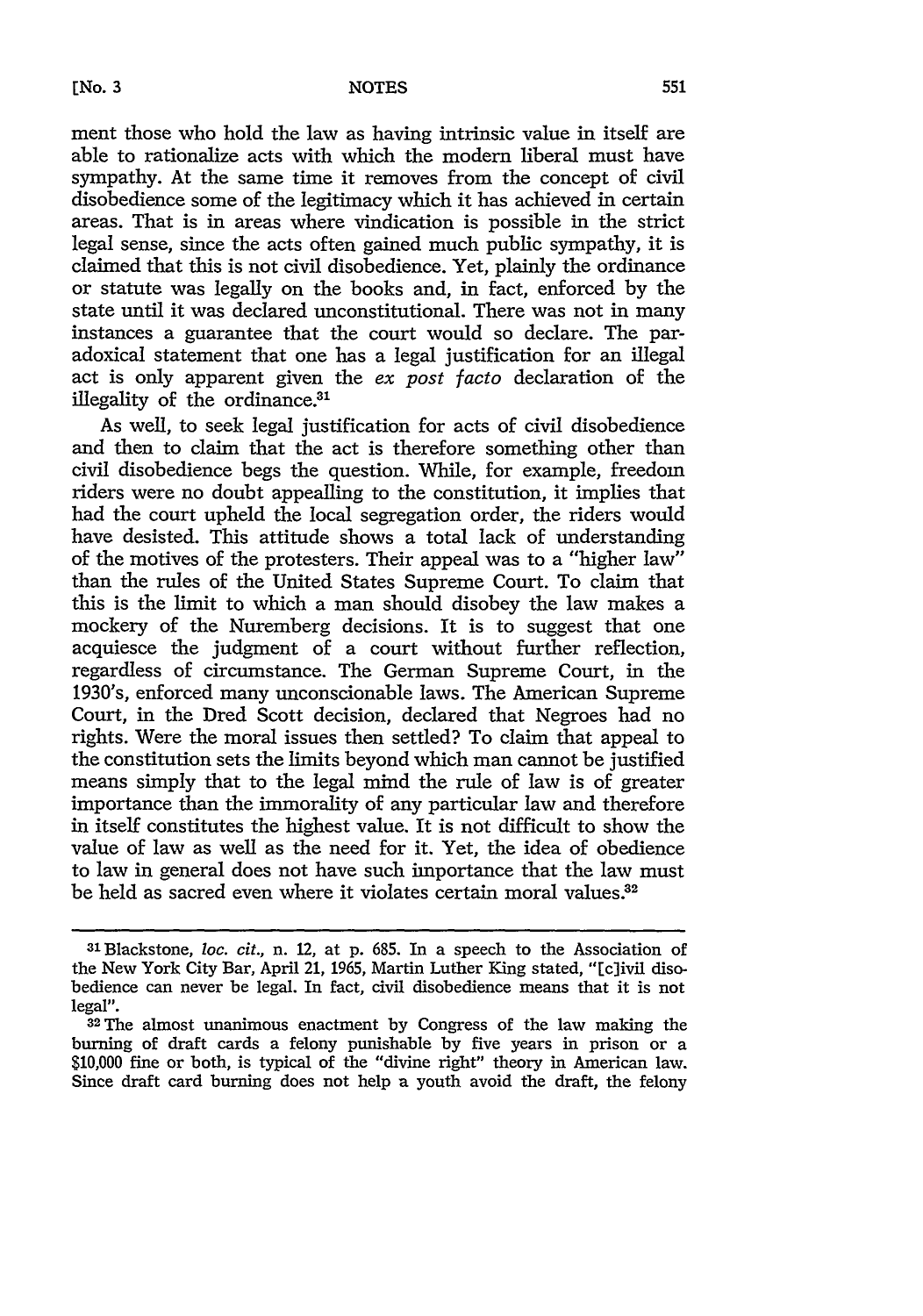ment those who hold the law as having intrinsic value in itself are able to rationalize acts with which the modern liberal must have sympathy. At the same time it removes from the concept of civil disobedience some of the legitimacy which it has achieved in certain areas. That is in areas where vindication is possible in the strict legal sense, since the acts often gained much public sympathy, it is claimed that this is not civil disobedience. Yet, plainly the ordinance or statute was legally on the books and, in fact, enforced by the state until it was declared unconstitutional. There was not in many instances a guarantee that the court would so declare. The paradoxical statement that one has a legal justification for an illegal act is only apparent given the *ex post facto* declaration of the illegality of the ordinance.<sup>31</sup>

As well, to seek legal justification for acts of civil disobedience and then to claim that the act is therefore something other than civil disobedience begs the question. While, for example, freedom riders were no doubt appealling to the constitution, it implies that had the court upheld the local segregation order, the riders would have desisted. This attitude shows a total lack of understanding of the motives of the protesters. Their appeal was to a "higher law" than the rules of the United States Supreme Court. To claim that this is the limit to which a man should disobey the law makes a mockery of the Nuremberg decisions. It is to suggest that one acquiesce the judgment of a court without further reflection, regardless of circumstance. The German Supreme Court, in the 1930's, enforced many unconscionable laws. The American Supreme Court, in the Dred Scott decision, declared that Negroes had no rights. Were the moral issues then settled? To claim that appeal to the constitution sets the limits beyond which man cannot be justified means simply that to the legal mind the rule of law is of greater importance than the immorality of any particular law and therefore in itself constitutes the highest value. It is not difficult to show the value of law as well as the need for it. Yet, the idea of obedience to law in general does not have such importance that the law must be held as sacred even where it violates certain moral values.<sup>32</sup>

<sup>&</sup>lt;sup>31</sup> Blackstone, *loc. cit.*, n. 12, at p. 685. In a speech to the Association of the New York City Bar, April 21, 1965, Martin Luther King stated, "[c]ivil disobedience can never be legal. In fact, civil disobedience means that it is not legal". **32The** almost unanimous enactment by Congress of the law making the

burning of draft cards a felony punishable by five years in prison or a **\$10,000** fine or both, is typical of the "divine right" theory in American law. Since draft card burning does not help a youth avoid the draft, the felony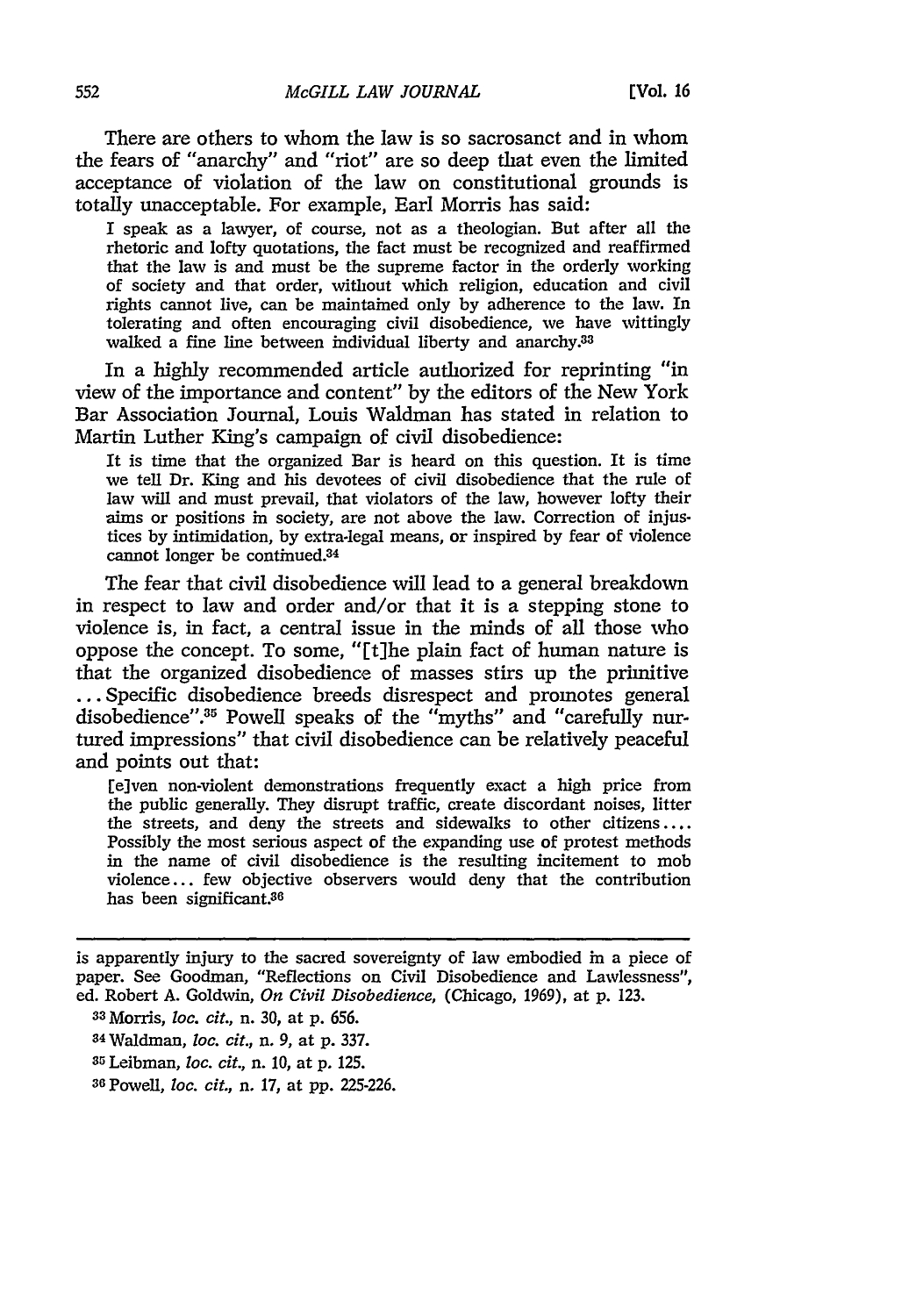There are others to whom the law is so sacrosanct and in whom the fears of "anarchy" and "riot" are so deep that even the limited acceptance of violation of the law on constitutional grounds is totally unacceptable. For example, Earl Morris has said:

I speak as a lawyer, of course, not as a theologian. But after all the rhetoric and lofty quotations, the fact must be recognized and reaffirmed that the law is and must be the supreme factor in the orderly working of society and that order, without which religion, education and civil rights cannot live, can be maintained only by adherence to the law. In tolerating and often encouraging civil disobedience, we have wittingly walked a fine line between individual liberty and anarchy.<sup>33</sup>

In a highly recommended article authorized for reprinting "in view of the importance and content" by the editors of the New York Bar Association Journal, Louis Waldman has stated in relation to Martin Luther King's campaign of civil disobedience:

It is time that the organized Bar is heard on this question. It is time we tell Dr. King and his devotees of civil disobedience that the rule of law will and must prevail, that violators of the law, however lofty their aims or positions in society, are not above the law. Correction of injustices by intimidation, by extra-legal means, or inspired by fear of violence cannot longer be continued.<sup>34</sup>

The fear that civil disobedience will lead to a general breakdown in respect to law and order and/or that it is a stepping stone to violence is, in fact, a central issue in the minds of all those who oppose the concept. To some, "[t]he plain fact of human nature is that the organized disobedience of masses stirs up the primitive ... Specific disobedience breeds disrespect and promotes general disobedience".<sup>35</sup> Powell speaks of the "myths" and "carefully nurtured impressions" that civil disobedience can be relatively peaceful and points out that:

[e]ven non-violent demonstrations frequently exact a high price from the public generally. They disrupt traffic, create discordant noises, litter the streets, and deny the streets and sidewalks to other citizens .... Possibly the most serious aspect of the expanding use of protest methods in the name of civil disobedience is the resulting incitement to mob violence.., few objective observers would deny that the contribution has been significant.<sup>36</sup>

is apparently injury to the sacred sovereignty of law embodied in a piece of paper. See Goodman, "Reflections on Civil Disobedience and Lawlessness", ed. Robert **A.** Goldwin, *On Civil Disobedience,* (Chicago, 1969), at p. 123.

**<sup>33</sup>**Morris, *loc. cit.,* n. **30,** at p. 656.

<sup>34</sup> Waldman, *loc. cit.,* n. 9, at **p. 337.**

**<sup>35</sup>** Leibman, *loc. cit.,* n. 10, at p. 125.

**<sup>36</sup>** Powell, *loc. cit.,* n. 17, at pp. 225-226.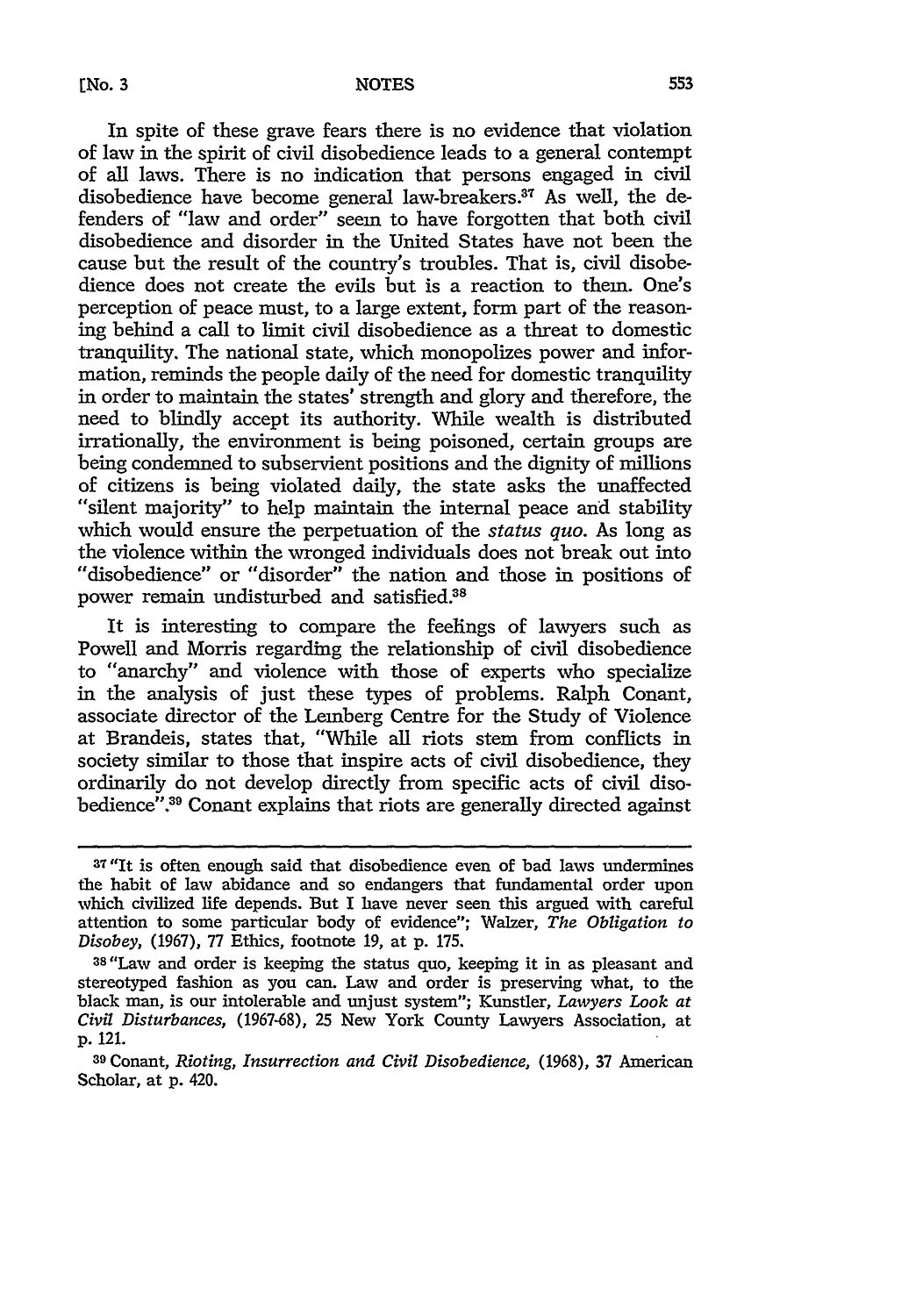In spite of these grave fears there is no evidence that violation of law in the spirit of civil disobedience leads to a general contempt of all laws. There is no indication that persons engaged in civil disobedience have become general law-breakers.<sup>37</sup> As well, the defenders of "law and order" seem to have forgotten that both civil disobedience and disorder in the United States have not been the cause but the result of the country's troubles. That is, civil disobedience does not create the evils but is a reaction to them. One's perception of peace must, to a large extent, form part of the reasoning behind a call to limit civil disobedience as a threat to domestic tranquility. The national state, which monopolizes power and information, reminds the people daily of the need for domestic tranquility in order to maintain the states' strength and glory and therefore, the need to blindly accept its authority. While wealth is distributed irrationally, the environment is being poisoned, certain groups are being condemned to subservient positions and the dignity of millions of citizens is being violated daily, the state asks the unaffected "silent majority" to help maintain the internal peace and stability which would ensure the perpetuation of the status *quo.* As long as the violence within the wronged individuals does not break out into "disobedience" or "disorder" the nation and those in positions of power remain undisturbed and satisfied.<sup>38</sup>

It is interesting to compare the feelings of lawyers such as Powell and Morris regarding the relationship of civil disobedience to "anarchy" and violence with those of experts who specialize in the analysis of just these types of problems. Ralph Conant, associate director of the Lemberg Centre for the Study of Violence at Brandeis, states that, "While all riots stem from conflicts in society similar to those that inspire acts of civil disobedience, they ordinarily do not develop directly from specific acts of civil disobedience".<sup>39</sup> Conant explains that riots are generally directed against

<sup>&</sup>lt;sup>37</sup> "It is often enough said that disobedience even of bad laws undermines the habit of law abidance and so endangers that fundamental order upon which civilized life depends. But I have never seen this argued with careful attention to some particular body of evidence"; Walzer, *The Obligation to Disobey,* (1967), 77 Ethics, footnote 19, at p. 175.

<sup>38&</sup>quot;Law and order is keeping the status quo, keeping it in as pleasant and stereotyped fashion as you can. Law and order is preserving what, to the black man, is our intolerable and unjust system"; Kunstler, *Lawyers Look at Civil Disturbances,* (1967-68), 25 New York County Lawyers Association, at p. 121.

**<sup>39</sup>**Conant, *Rioting, Insurrection and Civil Disobedience,* (1968), **37** American Scholar, at p. 420.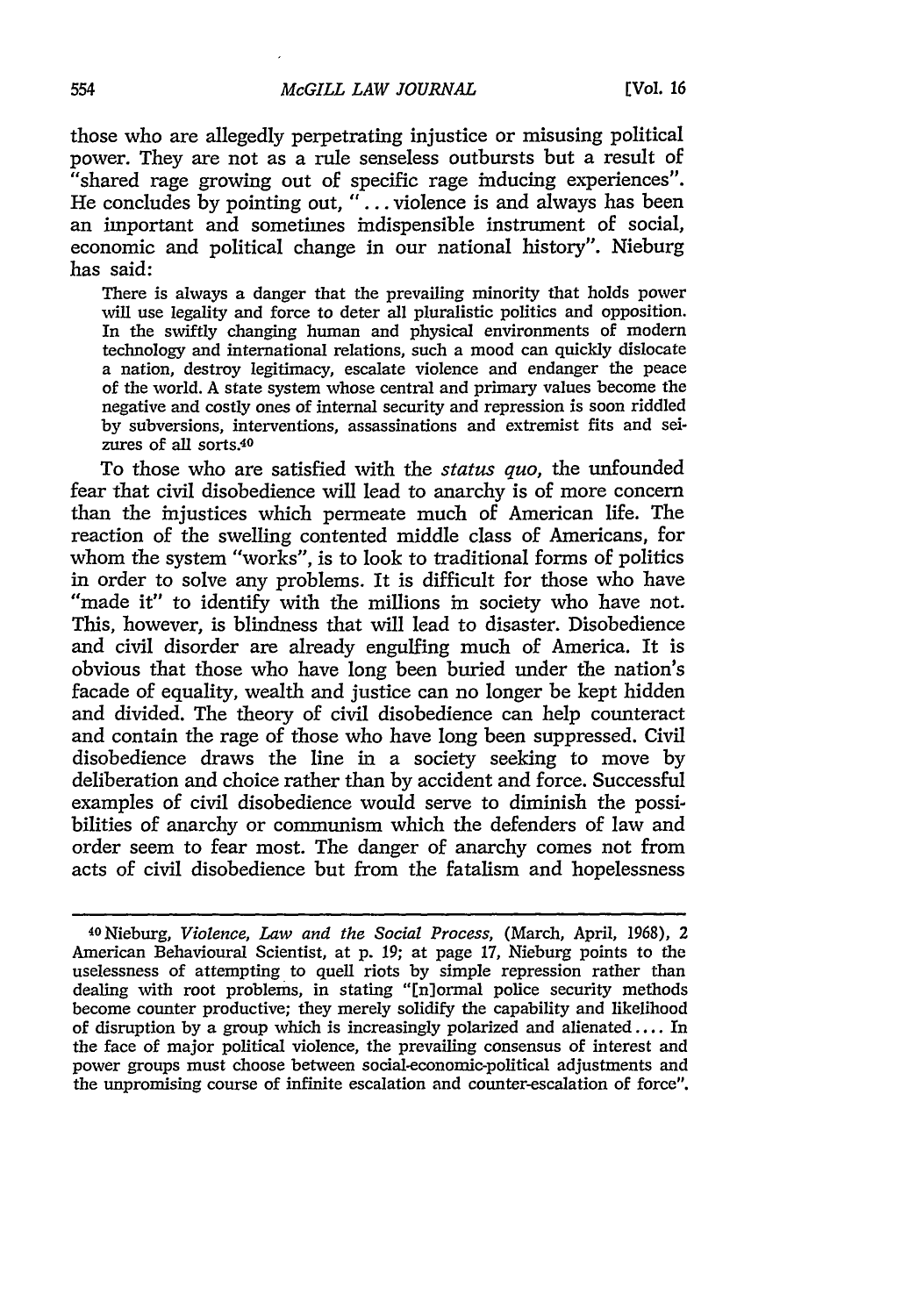those who are allegedly perpetrating injustice or misusing political power. They are not as a rule senseless outbursts but a result of "shared rage growing out of specific rage inducing experiences". He concludes by pointing out, **"..** . violence is and always has been an important and sometimes indispensible instrument of social, economic and political change in our national history". Nieburg has said:

There is always a danger that the prevailing minority that holds power will use legality and force to deter all pluralistic politics and opposition. In the swiftly changing human and physical environments of modern technology and international relations, such a mood can quickly dislocate a nation, destroy legitimacy, escalate violence and endanger the peace of the world. A state system whose central and primary values become the negative and costly ones of internal security and repression is soon riddled by subversions, interventions, assassinations and extremist fits and seizures of all sorts <sup>40</sup>

To those who are satisfied with the *status quo,* the unfounded fear that civil disobedience will lead to anarchy is of more concern than the injustices which permeate much of American life. The reaction of the swelling contented middle class of Americans, for whom the system "works", is to look to traditional forms of politics in order to solve any problems. It is difficult for those who have "made it" to identify with the millions in society who have not. This, however, is blindness that will lead to disaster. Disobedience and civil disorder are already engulfing much of America. It is obvious that those who have long been buried under the nation's facade of equality, wealth and justice can no longer be kept hidden and divided. The theory of civil disobedience can help counteract and contain the rage of those who have long been suppressed. Civil disobedience draws the line in a society seeking to move by deliberation and choice rather than by accident and force. Successful examples of civil disobedience would serve to diminish the possibilities of anarchy or communism which the defenders of law and order seem to fear most. The danger of anarchy comes not from acts of civil disobedience but from the fatalism and hopelessness

<sup>4</sup>ONieburg, *Violence, Law and the Social Process,* (March, April, 1968), 2 American Behavioural Scientist, at p. 19; at page 17, Nieburg points to the uselessness of attempting to quell riots by simple repression rather than dealing with root problems, in stating "[n]ormal police security methods become counter productive; they merely solidify the capability and likelihood of disruption by a group which is increasingly polarized and alienated.... In the face of major political violence, the prevailing consensus of interest and power groups must choose between social-economic-political adjustments and the unpromising course of infinite escalation and counter-escalation of force".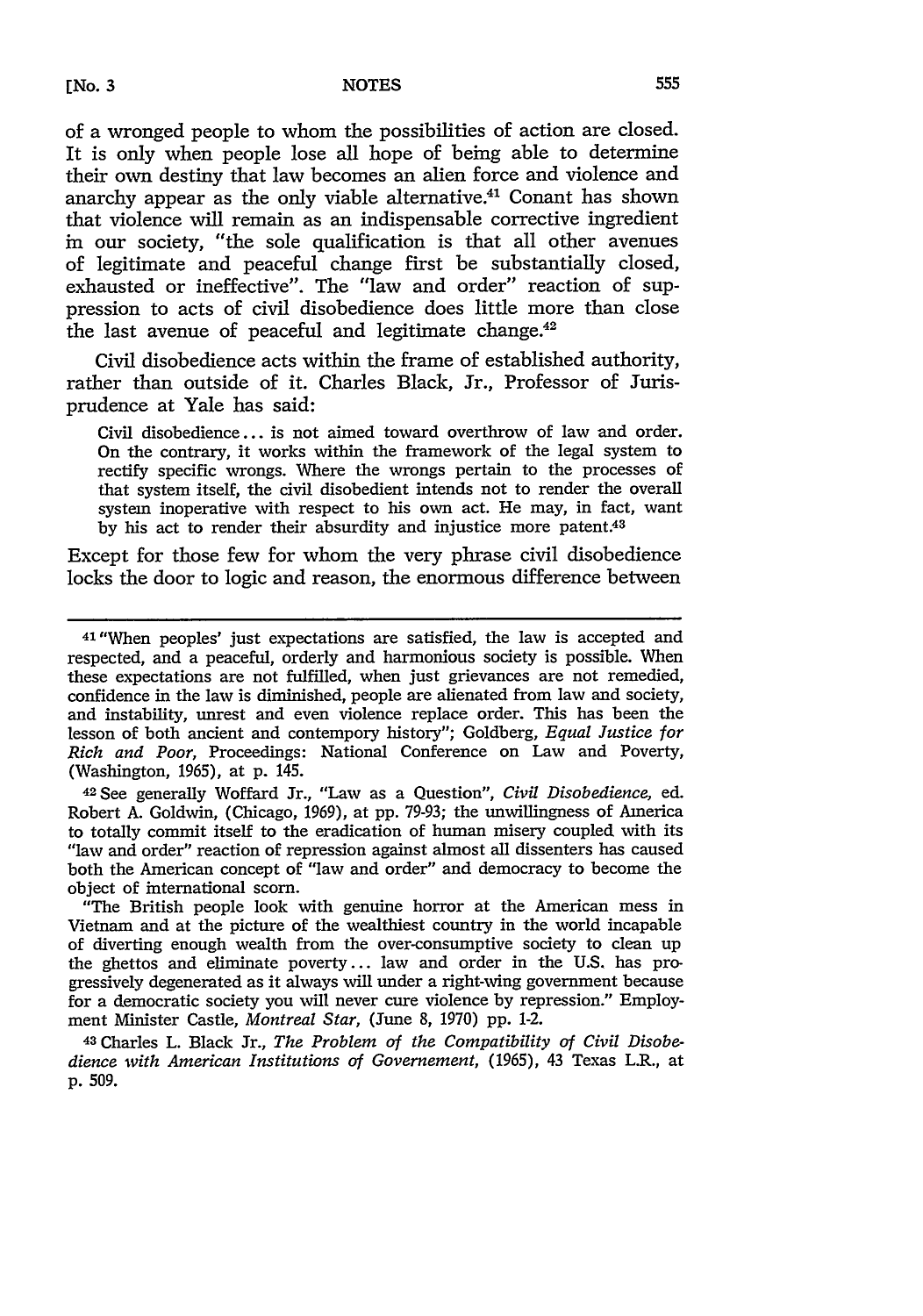of a wronged people to whom the possibilities of action are closed. It is only when people lose all hope of being able to determine their own destiny that law becomes an alien force and violence and anarchy appear as the only viable alternative.<sup>41</sup> Conant has shown that violence will remain as an indispensable corrective ingredient in our society, "the sole qualification is that all other avenues of legitimate and peaceful change first be substantially closed, exhausted or ineffective". The "law and order" reaction of suppression to acts of civil disobedience does little more than close the last avenue of peaceful and legitimate change.<sup>42</sup>

Civil disobedience acts within the frame of established authority, rather than outside of it. Charles Black, Jr., Professor of Jurisprudence at Yale has said:

Civil disobedience... is not aimed toward overthrow of law and order. On the contrary, it works within the framework of the legal system to rectify specific wrongs. Where the wrongs pertain to the processes of that system itself, the civil disobedient intends not to render the overall system inoperative with respect to his own act. He may, in fact, want by his act to render their absurdity and injustice more patent.43

Except for those few for whom the very phrase civil disobedience locks the door to logic and reason, the enormous difference between

<sup>42</sup> See generally Woffard Jr., "Law as a Question", *Civil Disobedience,* ed. Robert A. Goldwin, (Chicago, 1969), at pp. 79-93; the unwillingness of America to totally commit itself to the eradication of human misery coupled with its "law and order" reaction of repression against almost all dissenters has caused both the American concept of "law and order" and democracy to become the object of international scorn.

"The British people look with genuine horror at the American mess in Vietnam and at the picture of the wealthiest country in the world incapable of diverting enough wealth from the over-consumptive society to clean up the ghettos and eliminate poverty... law and order in the U.S. has progressively degenerated as it always will under a right-wing government because for a democratic society you will never cure violence by repression." Employment Minister Castle, *Montreal Star,* (June 8, 1970) pp. 1-2.

<sup>43</sup> Charles L. Black Jr., *The Problem of the Compatibility of Civil Disobedience with American Institutions of Governement,* (1965), 43 Texas L.R., at **p.** 509.

<sup>41</sup> "When peoples' just expectations are satisfied, the law is accepted and respected, and a peaceful, orderly and harmonious society is possible. When these expectations are not fulfilled, when just grievances are not remedied, confidence in the law is diminished, people are alienated from law and society, and instability, unrest and even violence replace order. This has been the lesson of both ancient and contempory history"; Goldberg, *Equal Justice for Rich and Poor,* Proceedings: National Conference on Law and Poverty, (Washington, 1965), at p. 145.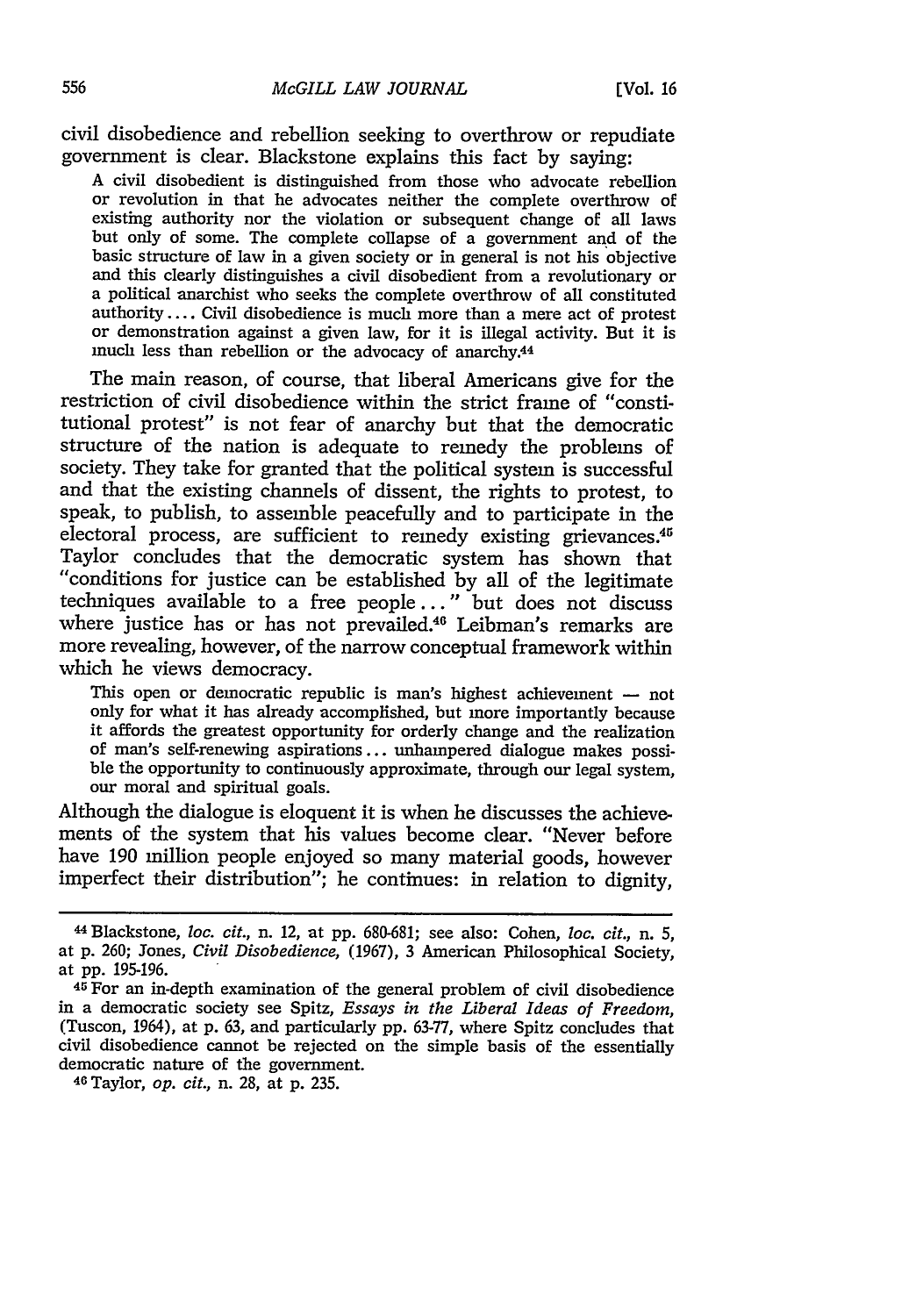civil disobedience and rebellion seeking to overthrow or repudiate government is clear. Blackstone explains this fact **by** saying:

**A** civil disobedient is distinguished from those who advocate rebellion or revolution in that he advocates neither the complete overthrow of existing authority nor the violation or subsequent change of all laws but only of some. The complete collapse of a government and of the basic structure of law in a given society or in general is not his objective and this clearly distinguishes a civil disobedient from a revolutionary or a political anarchist who seeks the complete overthrow of all constituted **authority ....** Civil disobedience is much more than a mere act of protest or demonstration against a given law, for it is illegal activity. But it is much less than rebellion or the advocacy of anarchy.44

The main reason, of course, that liberal Americans give for the restriction of civil disobedience within the strict frame of "constitutional protest" is not fear of anarchy but that the democratic structure of the nation is adequate to remedy the problems of society. They take for granted that the political system is successful and that the existing channels of dissent, the rights to protest, to speak, to publish, to assemble peacefully and to participate in the electoral process, are sufficient to remedy existing grievances.<sup>45</sup> Taylor concludes that the democratic system has shown that "conditions for justice can be established **by** all of the legitimate techniques available to a free people..." but does not discuss where justice has or has not prevailed.<sup>46</sup> Leibman's remarks are more revealing, however, of the narrow conceptual framework within which he views democracy.

This open or democratic republic is man's highest achievement **-** not only for what it has already accomplished, but more importantly because it affords the greatest opportunity for orderly change and the realization of man's self-renewing aspirations **...** unhampered dialogue makes possi- ble the opportunity to continuously approximate, through our legal system, our moral and spiritual goals.

Although the dialogue is eloquent it is when he discusses the achievements of the system that his values become clear. "Never before have **190** million people enjoyed so many material goods, however imperfect their distribution"; he continues: in relation to dignity,

<sup>44</sup>Blackstone, *loc. cit.,* n. 12, at **pp. 680-681;** see also: Cohen, *loc. cit.,* n. **5,** at **p. 260;** Jones, *Civil Disobedience,* **(1967), 3** American Philosophical Society, at **pp. 195-196.**

<sup>45</sup>For an in-depth examination of the general problem of civil disobedience in a democratic society see Spitz, *Essays in the Liberal Ideas of Freedom,* (Tuscon, 1964), at **p. 63,** and particularly **pp. 63-77,** where Spitz concludes that civil disobedience cannot be rejected on the simple basis of the essentially democratic nature of the government.

**<sup>46</sup>**Taylor, *op. cit.,* n. **28,** at **p. 235.**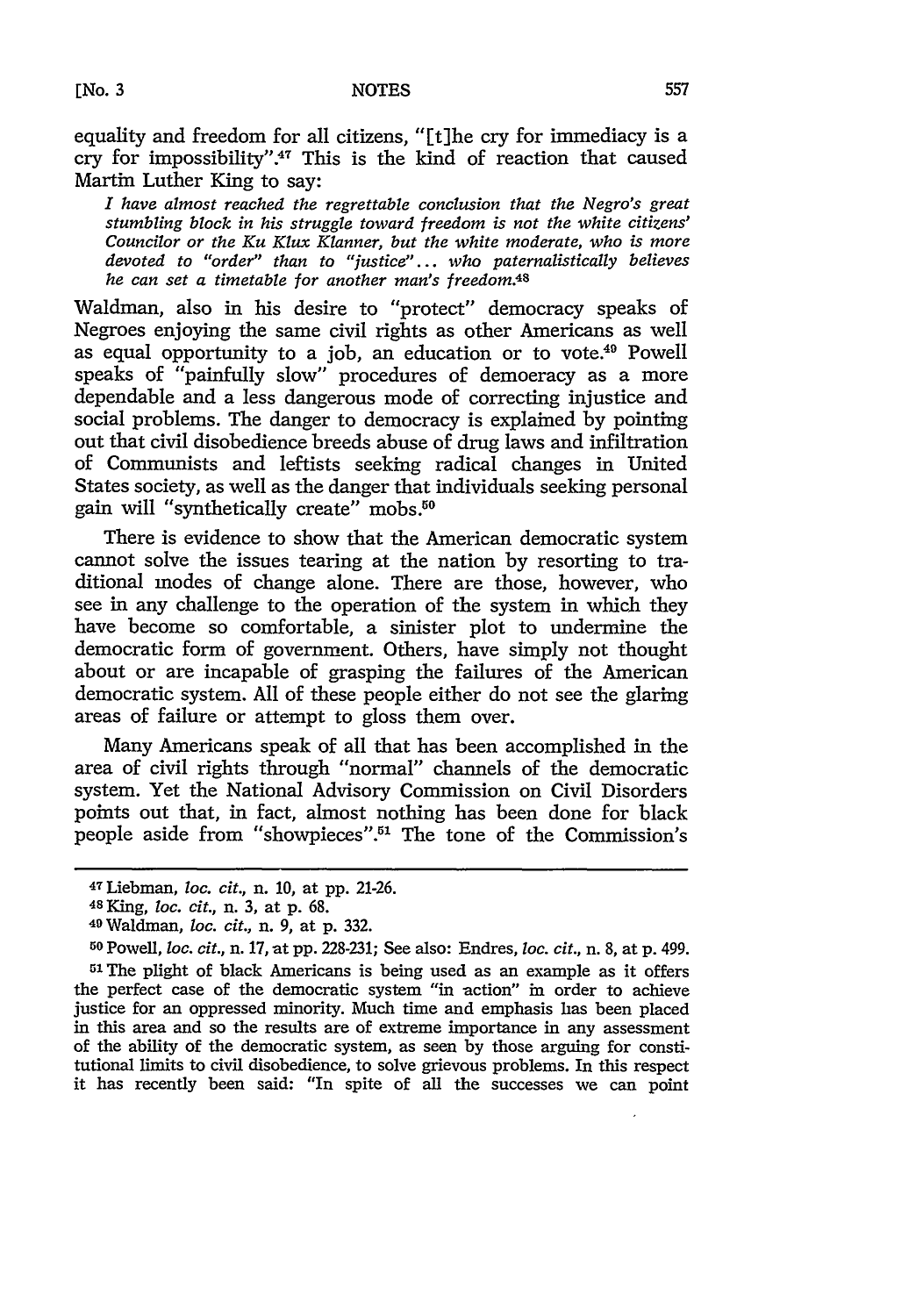equality and freedom for all citizens, "[t]he cry for immediacy is a cry for impossibility".47 This is the kind of reaction that caused Martin Luther King to say:

*I have almost reached the regrettable conclusion that the Negro's great stumbling block in his struggle toward freedom is not the white citizens' Councilor or the Ku Klux Klanner, but the white moderate, who is more devoted to "order" than to "justice"... who paternalistically believes he can set a timetable for another man's freedom.48*

Waldman, also in his desire to "protect" democracy speaks of Negroes enjoying the same civil rights as other Americans as well as equal opportunity to a job, an education or to vote.49 Powell speaks of "painfully slow" procedures of democracy as a more dependable and a less dangerous mode of correcting injustice and social problems. The danger to democracy is explained by pointing out that civil disobedience breeds abuse of drug laws and infiltration of Communists and leftists seeking radical changes in United States society, as well as the danger that individuals seeking personal gain will "synthetically create" mobs.50

There is evidence to show that the American democratic system cannot solve the issues tearing at the nation by resorting to traditional modes of change alone. There are those, however, who see in any challenge to the operation of the system in which they have become so comfortable, a sinister plot to undermine the democratic form of government. Others, have simply not thought about or are incapable of grasping the failures of the American democratic system. All of these people either do not see the glaring areas of failure or attempt to gloss them over.

Many Americans speak of all that has been accomplished in the area of civil rights through "normal" channels of the democratic system. Yet the National Advisory Commission on Civil Disorders points out that, in fact, almost nothing has been done for black people aside from "showpieces".<sup>51</sup> The tone of the Commission's

51 The plight of black Americans is being used as an example as it offers the perfect case of the democratic system "in action" in order to achieve justice for an oppressed minority. Much time and emphasis has been placed in this area and so the results are of extreme importance in any assessment of the ability of the democratic system, as seen by those arguing for constitutional limits to civil disobedience, to solve grievous problems. In this respect it has recently been said: "In spite of all the successes we can point

<sup>47</sup>Liebman, *loc. cit.,* n. *10,* at pp. 21-26.

*<sup>4</sup>s* King, *loc. cit.,* n. 3, at p. 68. <sup>4</sup> 9Waldman, *loc. cit.,* n. 9, at p. 332.

**<sup>50</sup>** Powell, *loc. cit.,* n. 17, at pp. 228-231; See also: Endres, *loc. cit.,* n. 8, at p. 499.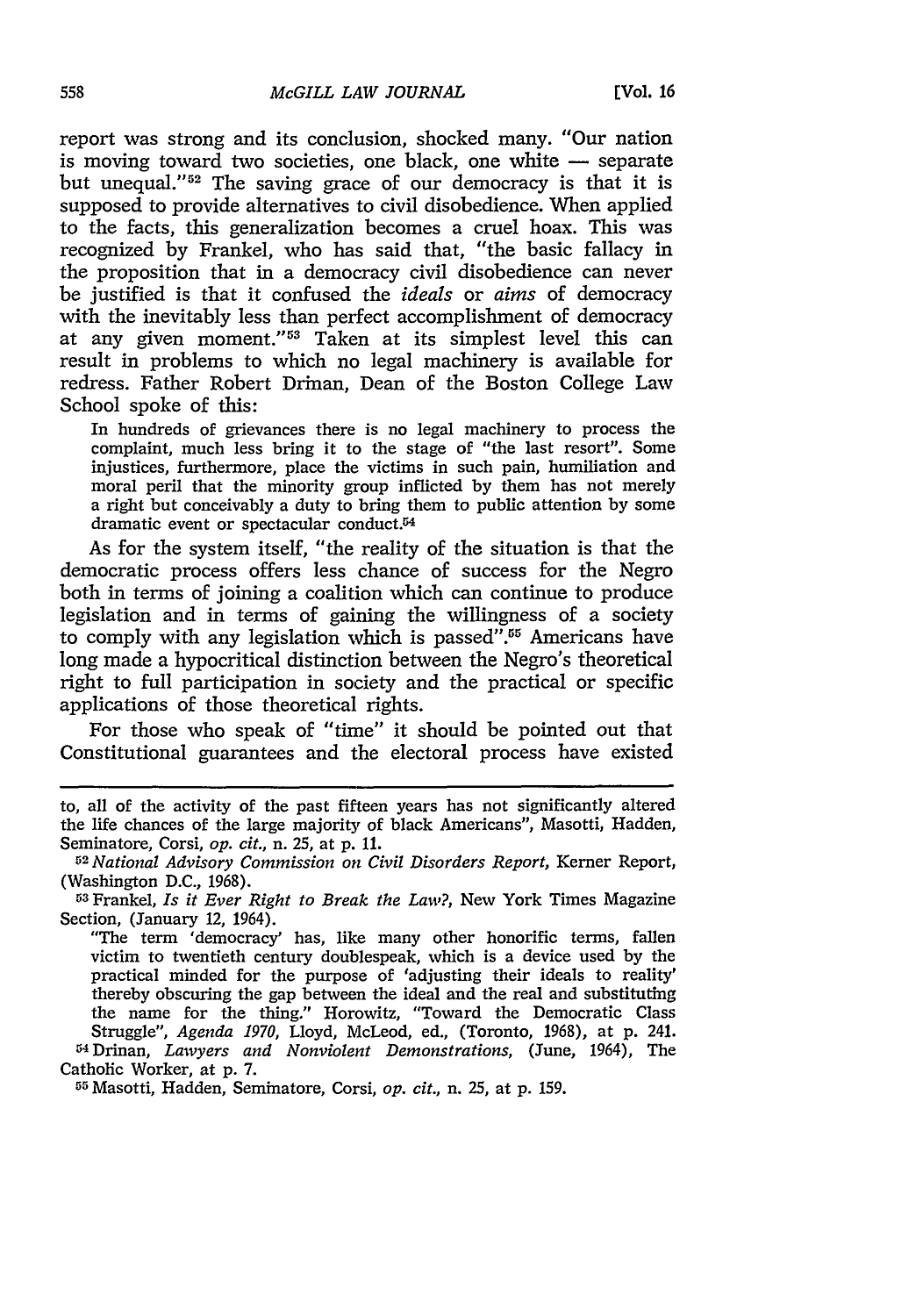report was strong and its conclusion, shocked many. "Our nation is moving toward two societies, one black, one white **-** separate but unequal." 52 The saving grace of **our** democracy is that it is supposed to provide alternatives to civil disobedience. When applied to the facts, this generalization becomes a cruel hoax. This was recognized **by** Frankel, who has said that, "the basic fallacy in the proposition that in a democracy civil disobedience can never be justified is that it confused the *ideals* or *aims* of democracy with the inevitably less than perfect accomplishment of democracy at any given moment."53 Taken at its simplest level this can result in problems to which no legal machinery is available for redress. Father Robert Drinan, Dean of the Boston College Law School spoke of this:

In hundreds of grievances there is no legal machinery to process the complaint, much less bring it to the stage of "the last resort". Some injustices, furthermore, place the victims in such pain, humiliation and moral peril that the minority group inflicted **by** them has not merely a right but conceivably a duty to bring them to public attention **by** some dramatic event or spectacular conduct.<sup>54</sup>

As for the system itself, "the reality of the situation is that the democratic process offers less chance of success for the Negro both in terms of joining a coalition which can continue to produce legislation and in terms of gaining the willingness of a society to comply with any legislation which is passed".<sup>55</sup> Americans have long made a hypocritical distinction between the Negro's theoretical right to full participation in society and the practical or specific applications of those theoretical rights.

For those who speak of "time" it should be pointed out that Constitutional guarantees and the electoral process have existed

**<sup>55</sup>**Masotti, Hadden, Seminatore, Corsi, *op. cit.,* n. **25,** at **p. 159.**

to, all of the activity of the past fifteen years has not significantly altered the life chances of the large majority of black Americans", Masotti, Hadden, Seminatore, Corsi, *op. cit.*, n. 25, at p. 11.<br><sup>52</sup> National Advisory Commission on Civil Disorders Report, Kerner Report,

<sup>(</sup>Washington **D.C., 1968). <sup>5</sup> <sup>3</sup>**Frankel, *Is it Ever Right to Break the Law?,* New York Times Magazine

Section, (January 12, 1964).

<sup>&</sup>quot;The term 'democracy' has, like many other honorific terms, fallen victim to twentieth century doublespeak, which is a device used **by** the practical minded for the purpose of 'adjusting their ideals to reality' thereby obscuring the gap between the ideal and the real and substituting the name for the thing." Horowitz, "Toward the Democratic Class Struggle", *Agenda 1970,* Lloyd, McLeod, ed., (Toronto, **1968),** at **p.** 241. <sup>54</sup> Drinan, *Lawyers and Nonviolent Demonstrations,* (June, 1964), The Catholic Worker, at **p. 7.**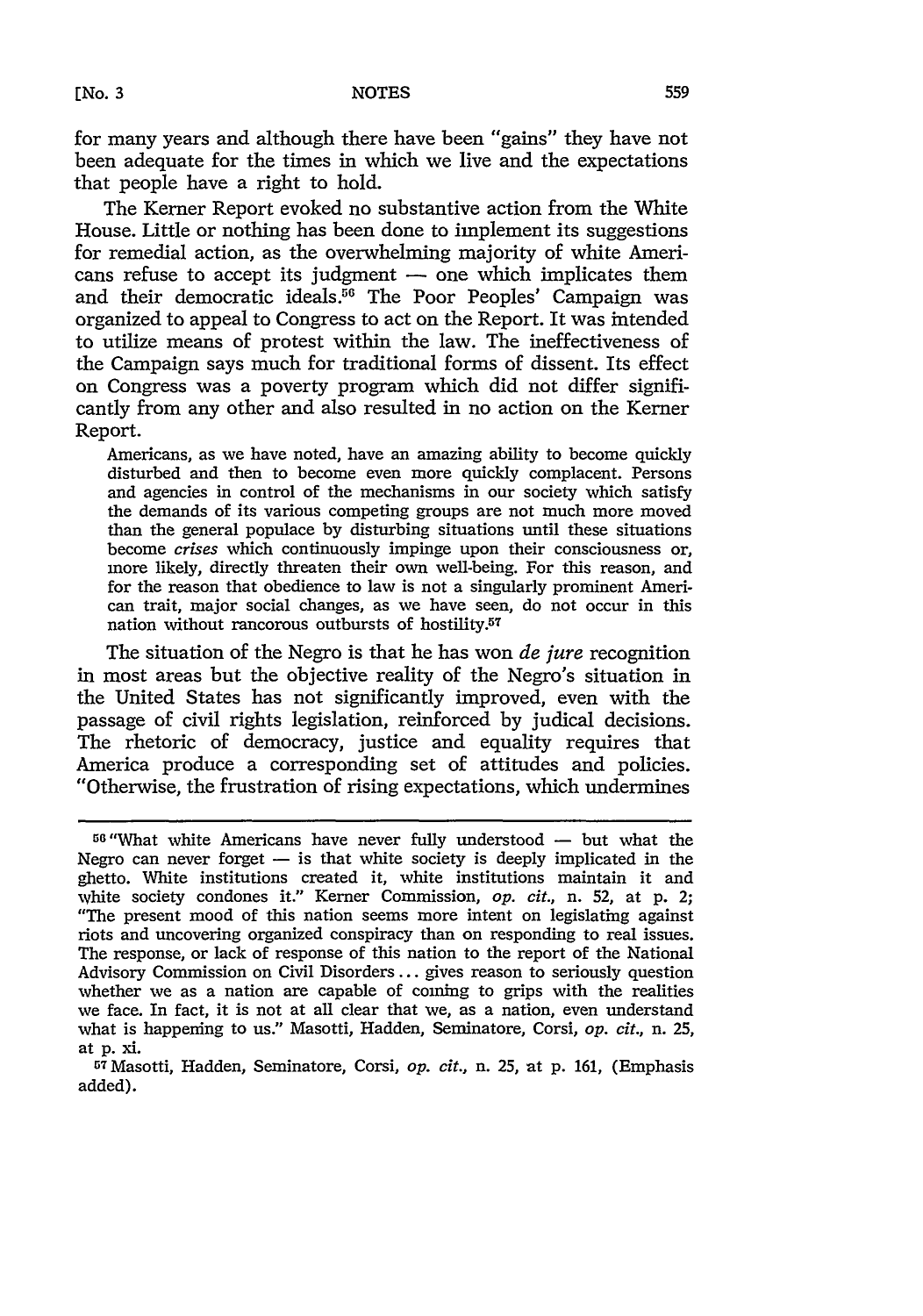for many years and although there have been "gains" they have not been adequate for the times in which we live and the expectations that people have a right to hold.

The Kerner Report evoked no substantive action from the White House. Little or nothing has been done to implement its suggestions for remedial action, as the overwhelming majority of white Americans refuse to accept its judgment  $-$  one which implicates them and their democratic ideals.<sup>56</sup> The Poor Peoples' Campaign was organized to appeal to Congress to act on the Report. It was intended to utilize means of protest within the law. The ineffectiveness of the Campaign says much for traditional forms of dissent. Its effect on Congress was a poverty program which did not differ significantly from any other and also resulted in no action on the Kerner Report.

Americans, as we have noted, have an amazing ability to become quickly disturbed and then to become even more quickly complacent. Persons and agencies in control of the mechanisms in our society which satisfy the demands of its various competing groups are not much more moved than the general populace by disturbing situations until these situations become *crises* which continuously impinge upon their consciousness or, more likely, directly threaten their own well-being. For this reason, and for the reason that obedience to law is not a singularly prominent American trait, major social changes, as we have seen, do not occur in this nation without rancorous outbursts of hostility.57

The situation of the Negro is that he has won *de jure* recognition in most areas but the objective reality of the Negro's situation in the United States has not significantly improved, even with the passage of civil rights legislation, reinforced by judical decisions. The rhetoric of democracy, justice and equality requires that America produce a corresponding set of attitudes and policies. "Otherwise, the frustration of rising expectations, which undermines

 $56$  "What white Americans have never fully understood  $-$  but what the Negro can never forget  $-$  is that white society is deeply implicated in the ghetto. White institutions created it, white institutions maintain it and white society condones it." Kerner Commission, *op. cit.,* n. 52, at p. 2; "The present mood of this nation seems more intent on legislating against riots and uncovering organized conspiracy than on responding to real issues. The response, or lack of response of this nation to the report of the National Advisory Commission on Civil Disorders... gives reason to seriously question whether we as a nation are capable of coming to grips with the realities we face. In fact, it is not at all clear that we, as a nation, even understand what is happening to us." Masotti, Hadden, Seminatore, Corsi, *op. cit.,* n. **25,** at **p.** xi.

<sup>&</sup>lt;sup>57</sup> Masotti, Hadden, Seminatore, Corsi, op. cit., n. 25, at p. 161, (Emphasis added).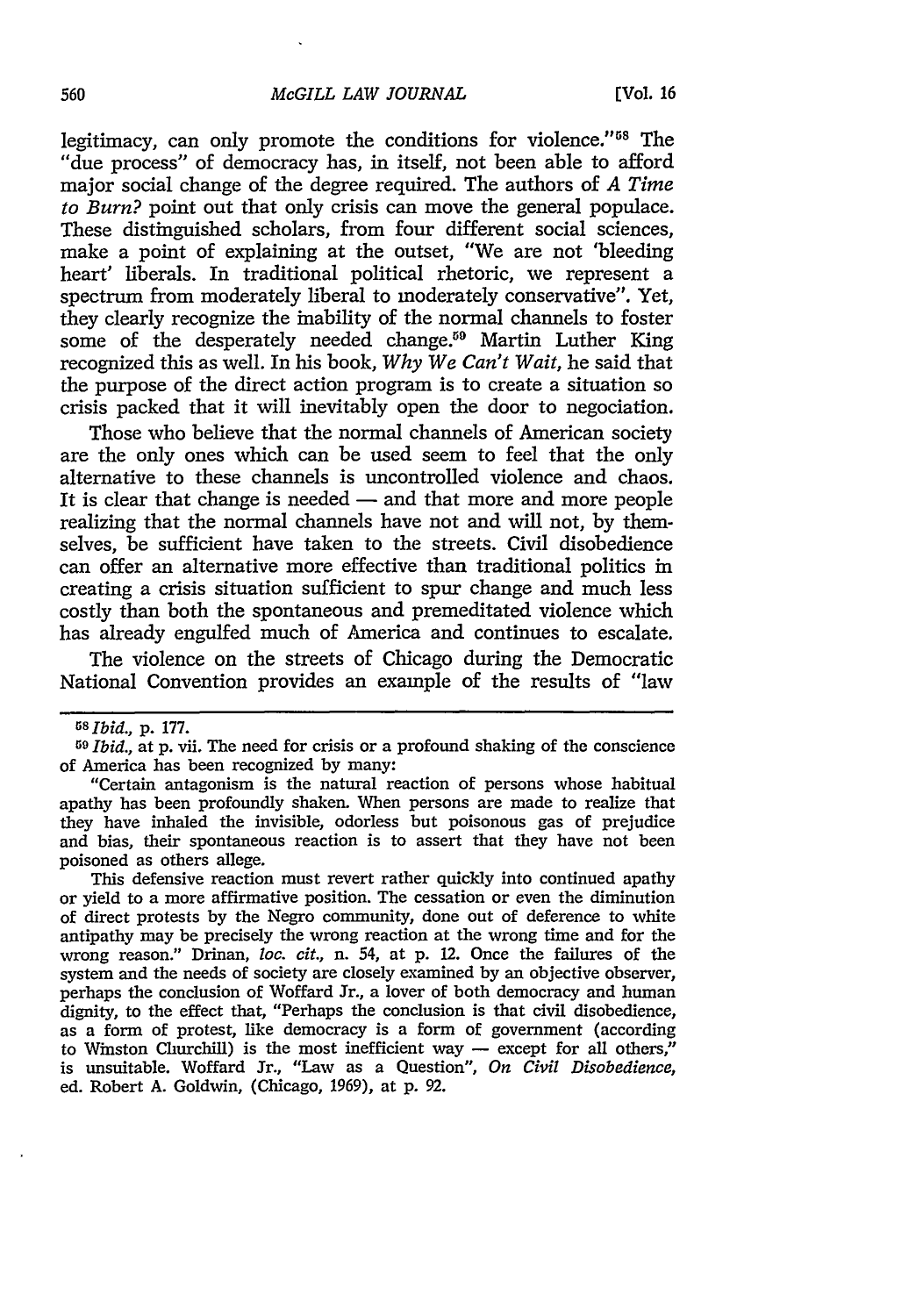legitimacy, can only promote the conditions for violence."<sup>58</sup> The "due process" of democracy has, in itself, not been able to afford major social change of the degree required. The authors of *A Time to Burn?* point out that only crisis can move the general populace. These distinguished scholars, from four different social sciences, make a point of explaining at the outset, "We are not 'bleeding heart' liberals. In traditional political rhetoric, we represent a spectrum from moderately liberal to moderately conservative". Yet, they clearly recognize the inability of the normal channels to foster some of the desperately needed change.<sup>59</sup> Martin Luther King recognized this as well. In his book, *Why We Can't Wait,* he said that the purpose of the direct action program is to create a situation so crisis packed that it will inevitably open the door to negociation.

Those who believe that the normal channels of American society are the only ones which can be used seem to feel that the only alternative to these channels is uncontrolled violence and chaos. It is clear that change is needed  $-$  and that more and more people realizing that the normal channels have not and will not, by themselves, be sufficient have taken to the streets. Civil disobedience can offer an alternative more effective than traditional politics in creating a crisis situation sufficient to spur change and much less costly than both the spontaneous and premeditated violence which has already engulfed much of America and continues to escalate.

The violence on the streets of Chicago during the Democratic National Convention provides an example of the results of "law

"Certain antagonism is the natural reaction of persons whose habitual apathy has been profoundly shaken. When persons are made to realize that they have inhaled the invisible, odorless but poisonous gas of prejudice and bias, their spontaneous reaction is to assert that they have not been poisoned as others allege.

This defensive reaction must revert rather quickly into continued apathy or yield to a more affirmative position. The cessation or even the diminution of direct protests by the Negro community, done out of deference to white antipathy may be precisely the wrong reaction at the wrong time and for the wrong reason." Drinan, loc. *cit.,* n. 54, at p. 12. Once the failures of the system and the needs of society are closely examined by an objective observer, perhaps the conclusion of Woffard Jr., a lover of both democracy and human dignity, to the effect that, "Perhaps the conclusion is that civil disobedience, as a form of protest, like democracy is a form of government (according to Winston Clurchill) is the most inefficient way - except for all others," is unsuitable. Woffard Jr., "Law as a Question", *On Civil Disobedience,* ed. Robert A. Goldwin, (Chicago, 1969), at p. 92.

*<sup>5</sup>sIbid.,* p. 177.

<sup>59</sup>*Ibid.,* at p. vii. The need for crisis or a profound shaking of the conscience of America has been recognized by many: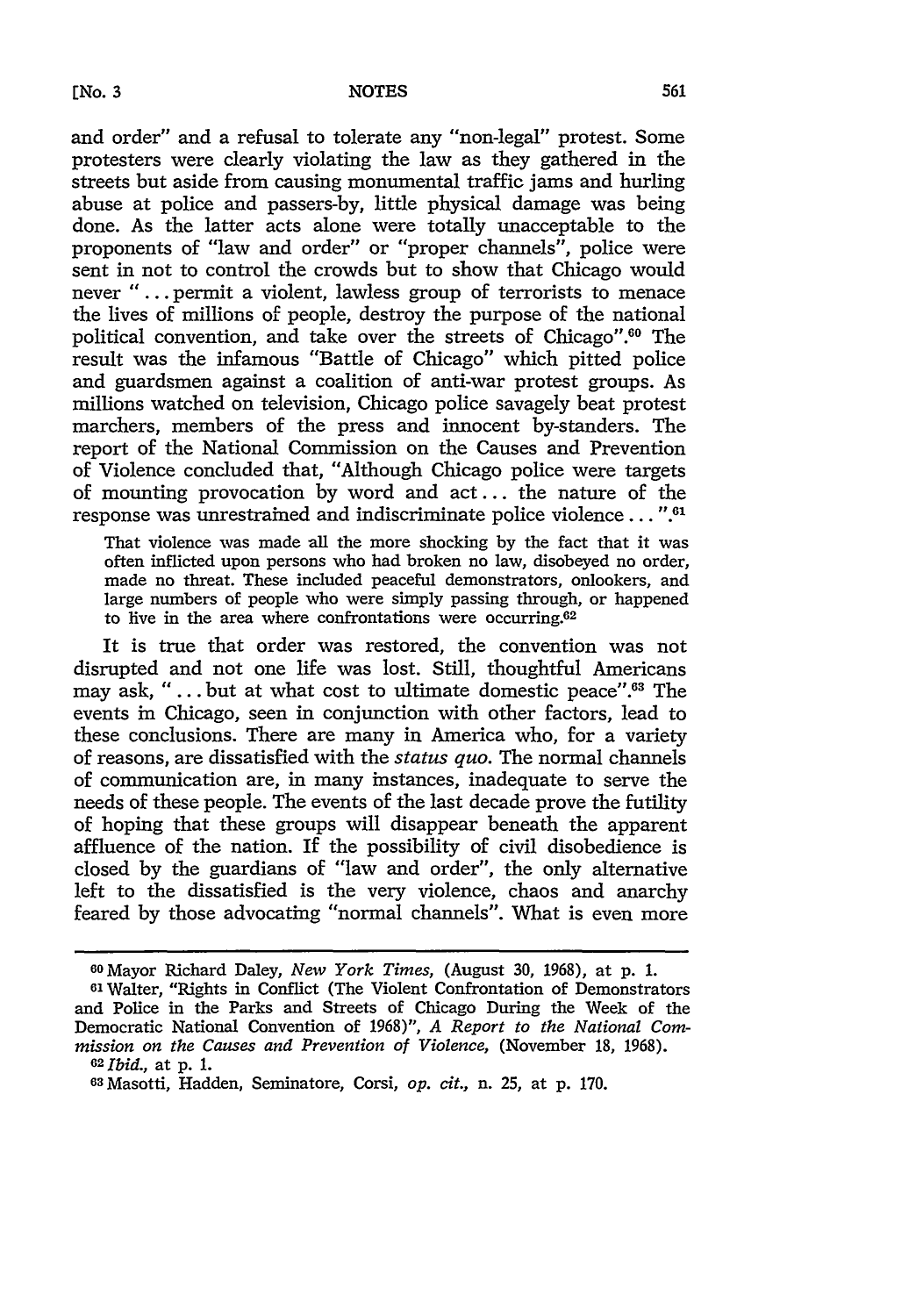and order" and a refusal to tolerate any "non-legal" protest. Some protesters were clearly violating the law as they gathered in the streets but aside from causing monumental traffic jams and hurling abuse at police and passers-by, little physical damage was being done. As the latter acts alone were totally unacceptable to the proponents of "law and order" or "proper channels", police were sent in not to control the crowds but to show that Chicago would never "... permit a violent, lawless group of terrorists to menace the lives of millions of people, destroy the purpose of the national political convention, and take over the streets of Chicago".60 The result was the infamous "Battle of Chicago" which pitted police and guardsmen against a coalition of anti-war protest groups. As millions watched on television, Chicago police savagely beat protest marchers, members of the press and innocent by-standers. The report of the National Commission on the Causes and Prevention of Violence concluded that, "Although Chicago police were targets of mounting provocation by word and act.., the nature of the response was unrestrained and indiscriminate police violence...". $61$ 

That violence was made all the more shocking by the fact that it was often inflicted upon persons who had broken no law, disobeyed no order, made no threat. These included peaceful demonstrators, onlookers, and large numbers of people who were simply passing through, or happened to live in the area where confrontations were occurring.<sup>62</sup>

It is true that order was restored, the convention was not disrupted and not one life was lost. Still, thoughtful Americans may ask, "... but at what cost to ultimate domestic peace".<sup>63</sup> The events in Chicago, seen in conjunction with other factors, lead to these conclusions. There are many in America who, for a variety of reasons, are dissatisfied with the *status quo.* The normal channels of communication are, in many instances, inadequate to serve the needs of these people. The events of the last decade prove the futility of hoping that these groups will disappear beneath the apparent affluence of the nation. If the possibility of civil disobedience is closed by the guardians of "law and order", the only alternative left to the dissatisfied is the very violence, chaos and anarchy feared by those advocating "normal channels". What is even more

<sup>60</sup>Mayor Richard Daley, *New York Times,* (August 30, 1968), at p. 1. 61 Walter, "Rights in Conflict (The Violent Confrontation of Demonstrators and Police in the Parks and Streets of Chicago During the Week of the Democratic National Convention of 1968)", *A Report to the National Commission on the Causes and Prevention of Violence,* (November 18, 1968). <sup>62</sup>*Ibid.,* at p. 1.

<sup>03</sup>Masotti, Hadden, Seminatore, Corsi, *op. cit.,* n. 25, at p. 170.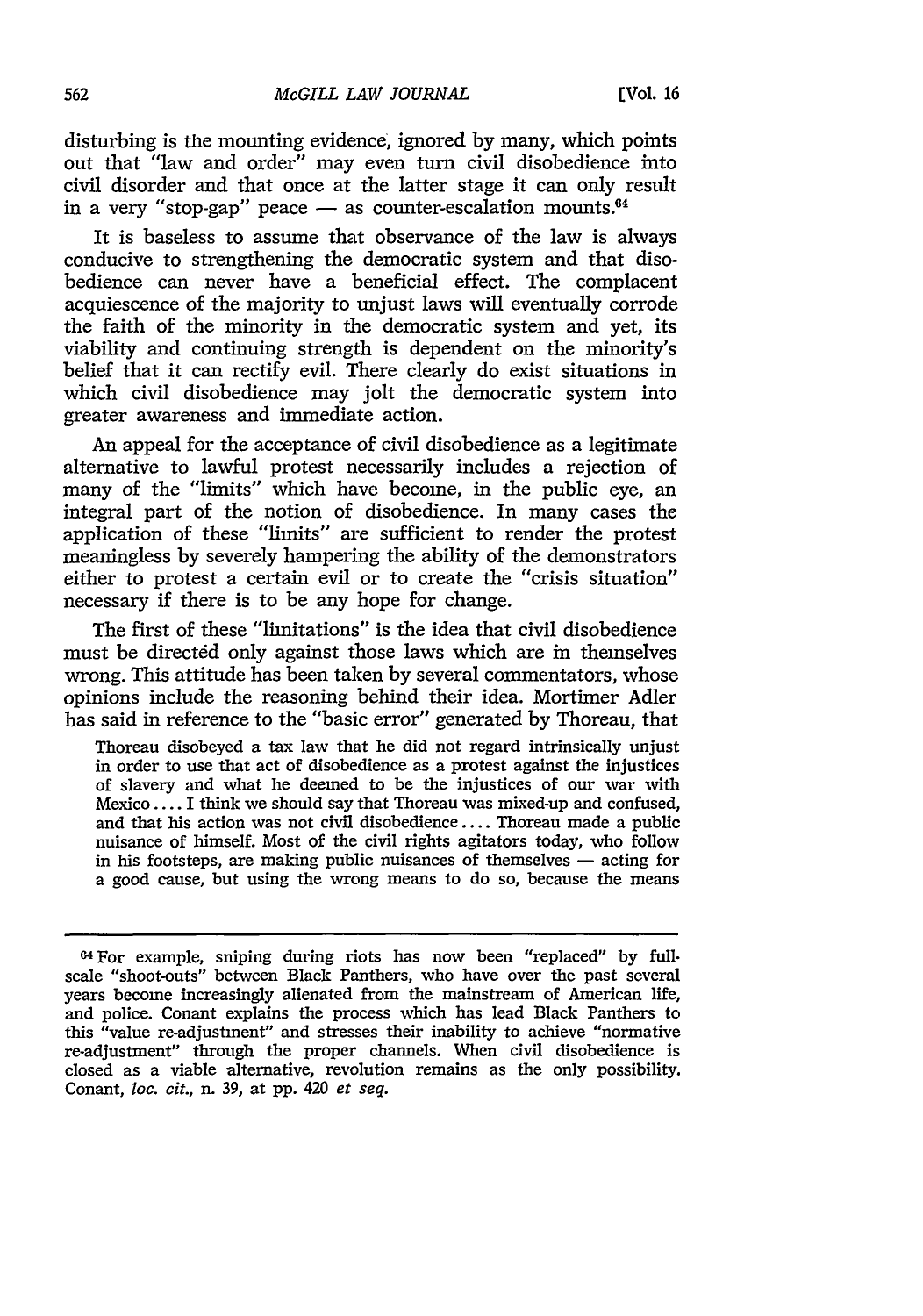disturbing is the mounting evidence, ignored by many, which points out that "law and order" may even turn civil disobedience into civil disorder and that once at the latter stage it can only result in a very "stop-gap" peace  $-$  as counter-escalation mounts.<sup> $64$ </sup>

It is baseless to assume that observance of the law is always conducive to strengthening the democratic system and that disobedience can never have a beneficial effect. The complacent acquiescence of the majority to unjust laws will eventually corrode the faith of the minority in the democratic system and yet, its viability and continuing strength is dependent on the minority's belief that it can rectify evil. There clearly do exist situations in which civil disobedience may jolt the democratic system into greater awareness and immediate action.

An appeal for the acceptance of civil disobedience as a legitimate alternative to lawful protest necessarily includes a rejection of many of the "limits" which have become, in the public eye, an integral part of the notion of disobedience. In many cases the application of these "limits" are sufficient to render the protest meaningless by severely hampering the ability of the demonstrators either to protest a certain evil or to create the "crisis situation" necessary if there is to be any hope for change.

The first of these "limitations" is the idea that civil disobedience must be directed only against those laws which are in themselves wrong. This attitude has been taken by several commentators, whose opinions include the reasoning behind their idea. Mortimer Adler has said in reference to the "basic error" generated by Thoreau, that

Thoreau disobeyed a tax law that he did not regard intrinsically unjust in order to use that act of disobedience as a protest against the injustices of slavery and what he deemed to be the injustices of our war with Mexico .... I think we should say that Thoreau was mixed-up and confused, and that his action was not civil disobedience.... Thoreau made a public nuisance of himself. Most of the civil rights agitators today, who follow in his footsteps, are making public nuisances of themselves **-** acting for a good cause, but using the wrong means to do so, because the means

<sup>04</sup>For example, sniping during riots has now been "replaced" by full. scale "shoot-outs" between Black Panthers, who have over the past several years become increasingly alienated from the mainstream of American life, and police. Conant explains the process which has lead Black Panthers to this "value re-adjustment" and stresses their inability to achieve "normative re-adjustment" through the proper channels. When civil disobedience is closed as a viable alternative, revolution remains as the only possibility. Conant, loc. *cit.,* n. 39, at pp. 420 *et seq.*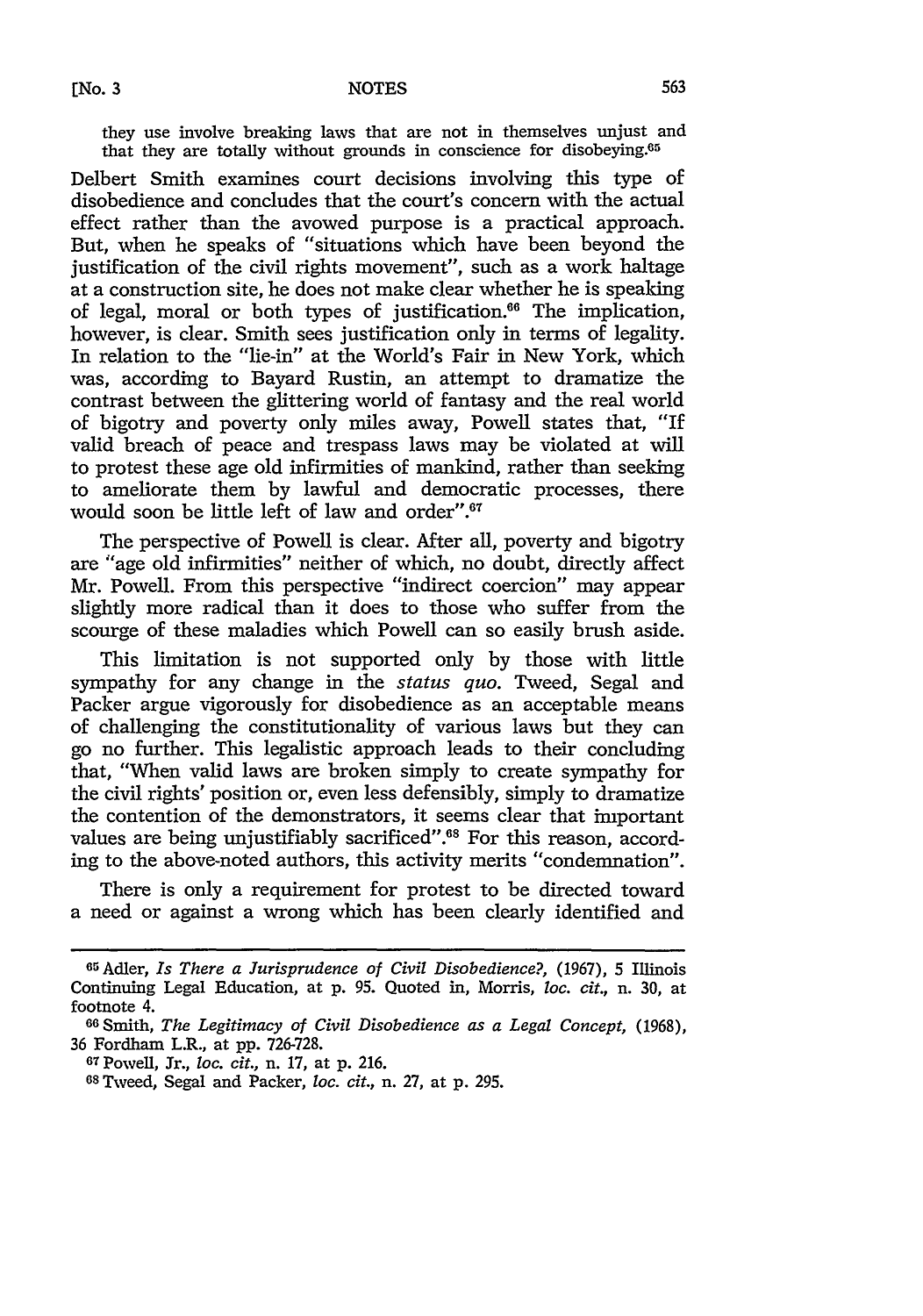they use involve breaking laws that are not in themselves unjust and that they are totally without grounds in conscience for disobeying.<sup>65</sup>

Delbert Smith examines court decisions involving this type of disobedience and concludes that the court's concern with the actual effect rather than the avowed purpose is a practical approach. But, when he speaks of "situations which have been beyond the justification of the civil rights movement", such as a work haltage at a construction site, he does not make clear whether he is speaking of legal, moral or both types of justification. $66$  The implication, however, is clear. Smith sees justification only in terms of legality. In relation to the "lie-in" at the World's Fair in New York, which was, according to Bayard Rustin, an attempt to dramatize the contrast between the glittering world of fantasy and the real world of bigotry and poverty only miles away, Powell states that, "If valid breach of peace and trespass laws may be violated at will to protest these age old infirmities of mankind, rather than seeking to ameliorate them by lawful and democratic processes, there would soon be little left of law and order".<sup>67</sup>

The perspective of Powell is clear. After all, poverty and bigotry are "age old infirmities" neither of which, no doubt, directly affect Mr. Powell. From this perspective "indirect coercion" may appear slightly more radical than it does to those who suffer from the scourge of these maladies which Powell can so easily brush aside.

This limitation is not supported only by those with little sympathy for any change in the *status quo.* Tweed, Segal and Packer argue vigorously for disobedience as an acceptable means of challenging the constitutionality of various laws but they can go no further. This legalistic approach leads to their concluding that, "When valid laws are broken simply to create sympathy for the civil rights' position or, even less defensibly, simply to dramatize the contention of the demonstrators, it seems clear that important values are being unjustifiably sacrificed".<sup>68</sup> For this reason, according to the above-noted authors, this activity merits "condemnation".

There is only a requirement for protest to be directed toward a need or against a wrong which has been clearly identified and

<sup>65</sup>Adler, *Is There a Jurisprudence of Civil Disobedience?,* **(1967),** 5 Illinois Continuing Legal Education, at p. 95. Quoted in, Morris, *loc. cit.,* n. 30, at footnote 4.

G <sup>6</sup> Smith, *The Legitimacy of Civil Disobedience as a Legal Concept,* (1968), 36 Fordham L.R., at pp. 726-728. 67 Powell, Jr., *loc. cit.,* n. **17,** at p. 216.

**<sup>68</sup>**Tweed, Segal and Packer, *loc. cit.,* n. **27,** at p. 295.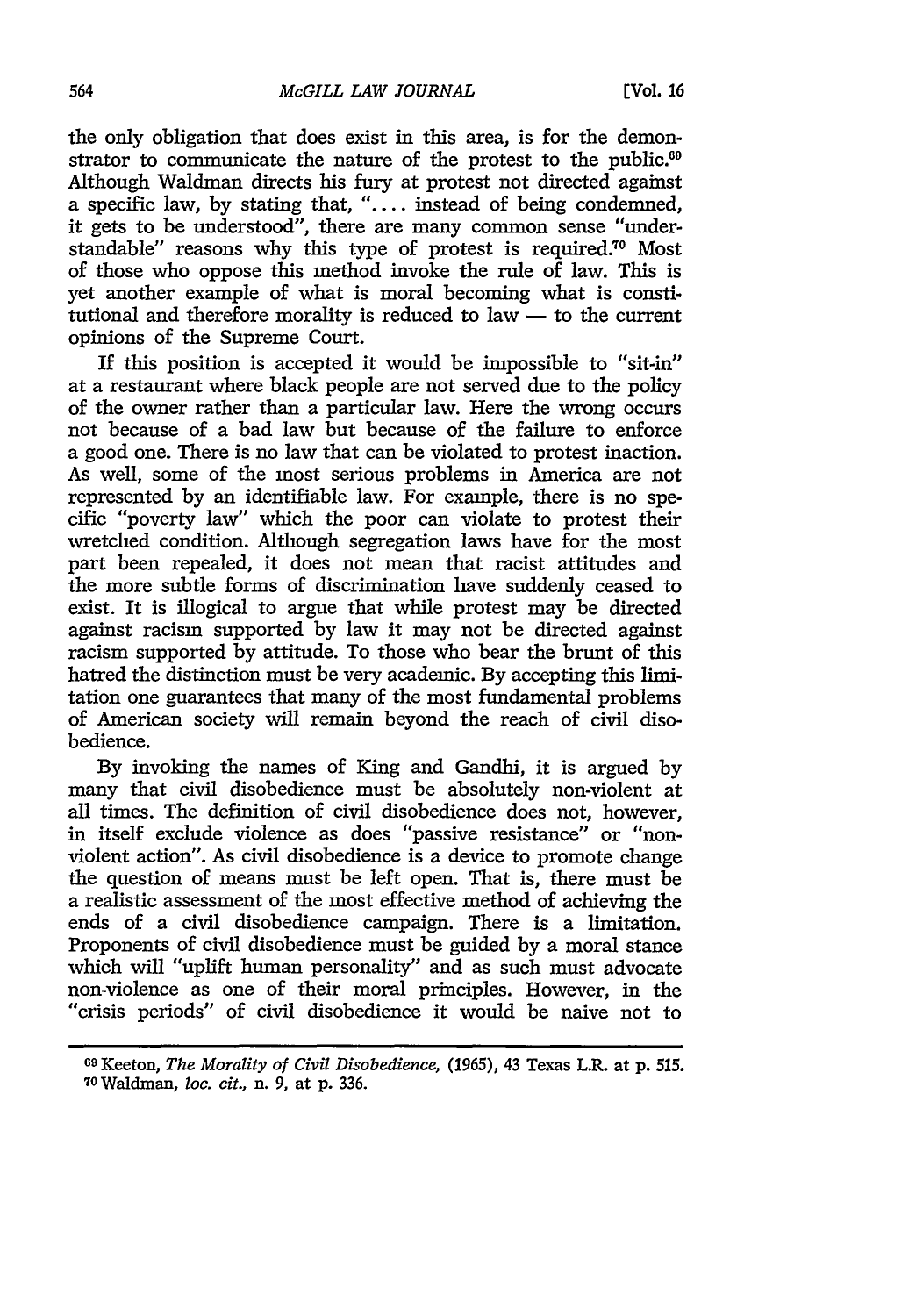the only obligation that does exist in this area, is for the demonstrator to communicate the nature of the protest to the public.<sup>69</sup> Although Waldman directs his fury at protest not directed against a specific law, by stating that, *"....* instead of being condemned, it gets to be understood", there are many common sense "understandable" reasons why this type of protest is required.70 Most of those who oppose this method invoke the rule of law. This is yet another example of what is moral becoming what is constitutional and therefore morality is reduced to law  $-$  to the current opinions of the Supreme Court.

If this position is accepted it would be impossible to "sit-in" at a restaurant where black people are not served due to the policy of the owner rather than a particular law. Here the wrong occurs not because of a bad law but because of the failure to enforce a good one. There is no law that can be violated to protest inaction. As well, some of the most serious problems in America are not represented by an identifiable law. For example, there is no specific "poverty law" which the poor can violate to protest their wretched condition. Although segregation laws have for the most part been repealed, it does not mean that racist attitudes and the more subtle forms of discrimination have suddenly ceased to exist. It is illogical to argue that while protest may be directed against racism supported by law it may not be directed against racism supported by attitude. To those who bear the brunt of this hatred the distinction must be very academic. By accepting this limitation one guarantees that many of the most fundamental problems of American society will remain beyond the reach of civil disobedience.

By invoking the names of King and Gandhi, it is argued by many that civil disobedience must be absolutely non-violent at all times. The definition of civil disobedience does not, however, in itself exclude violence as does "passive resistance" or "nonviolent action". As civil disobedience is a device to promote change the question of means must be left open. That is, there must be a realistic assessment of the most effective method of achieving the ends of a civil disobedience campaign. There is a limitation. Proponents of civil disobedience must be guided by a moral stance which will "uplift human personality" and as such must advocate non-violence as one of their moral principles. However, in the "crisis periods" of civil disobedience it would be naive not to

**<sup>69</sup>**Keeton, *The Morality of Civil Disobedience,* (1965), 43 Texas L.R. at **p. 515.** 70Waldman, loc. *cit.,* n. 9, at p. 336.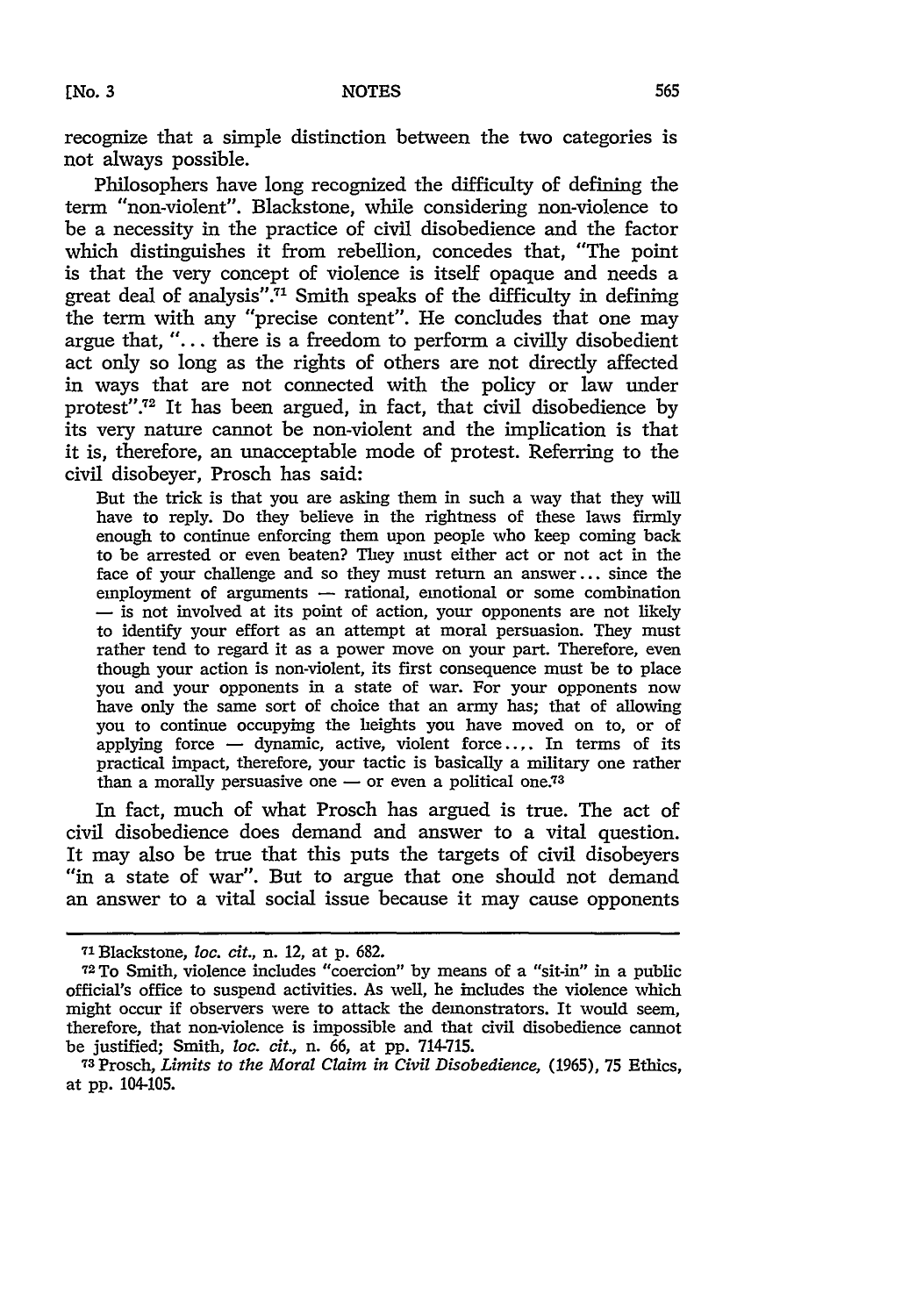recognize that a simple distinction between the two categories is not always possible.

Philosophers have long recognized the difficulty of defining the term "non-violent". Blackstone, while considering non-violence to be a necessity in the practice of civil disobedience and the factor which distinguishes it from rebellion, concedes that, "The point is that the very concept of violence is itself opaque and needs a great deal of analysis".<sup>71</sup> Smith speaks of the difficulty in defining the term with any "precise content". He concludes that one may argue that, "... there is a freedom to perform a civilly disobedient act only so long as the rights of others are not directly affected in ways that are not connected with the policy or law under protest".<sup>72</sup> It has been argued, in fact, that civil disobedience by its very nature cannot be non-violent and the implication is that it is, therefore, an unacceptable mode of protest. Referring to the civil disobeyer, Prosch has said:

But the trick is that you are asking them in such a way that they will have to reply. Do they believe in the rightness of these laws firmly enough to continue enforcing them upon people who keep coming back to be arrested or even beaten? They must either act or not act in the face of your challenge and so they must return an answer... since the employment of arguments — rational, emotional or some combination - is not involved at its point of action, your opponents are not likely to identify your effort as an attempt at moral persuasion. They must rather tend to regard it as a power move on your part. Therefore, even though your action is non-violent, its first consequence must be to place you and your opponents in a state of war. For your opponents now have only the same sort of choice that an army has; that of allowing you to continue occupying the heights you have moved on to, or of applying force  $-$  dynamic, active, violent force.... In terms of its practical impact, therefore, your tactic is basically a military one rather than a morally persuasive one  $-$  or even a political one.<sup>73</sup>

In fact, much of what Prosch has argued is true. The act of civil disobedience does demand and answer to a vital question. It may also be true that this puts the targets of civil disobeyers "in a state of war". But to argue that one should not demand an answer to a vital social issue because it may cause opponents

<sup>7&#</sup>x27; Blackstone, loc. *cit.,* n. 12, at p. 682.

**<sup>7</sup><sup>2</sup>**To Smith, violence includes "coercion" by means of a "sit-in" in a public official's office to suspend activities. As well, he includes the violence which might occur if observers were to attack the demonstrators. It would seem, therefore, that non-violence is impossible and that civil disobedience cannot be justified; Smith, loc. *cit.,* n. 66, at pp. 714-715.

<sup>73</sup>Prosch, *Limits to the Moral Claim in Civil Disobedience,* **(1965),** 75 Ethics, at pp. 104-105.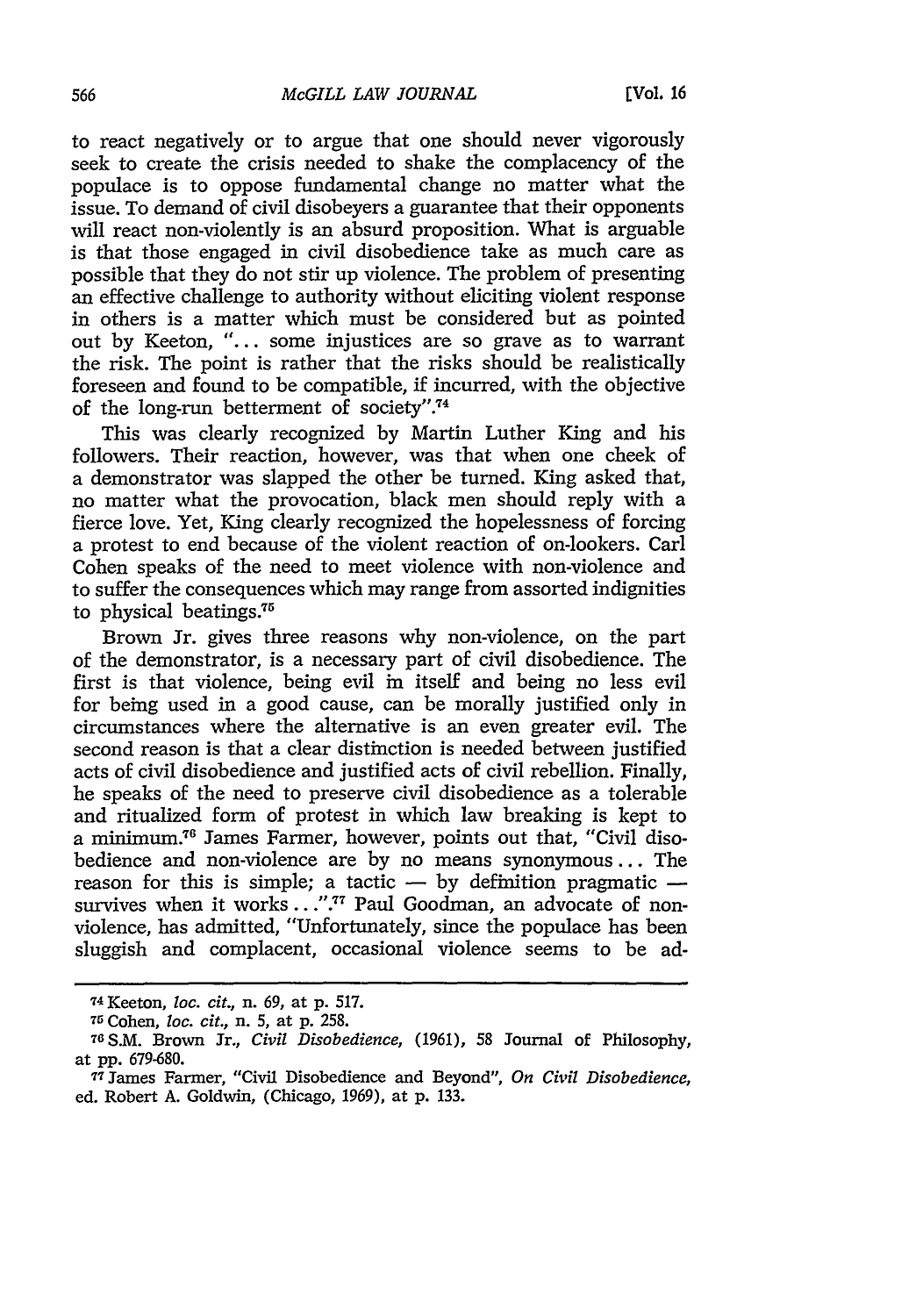to react negatively or to argue that one should never vigorously seek to create the crisis needed to shake the complacency of the populace is to oppose fundamental change no matter what the issue. To demand of civil disobeyers a guarantee that their opponents will react non-violently is an absurd proposition. What is arguable is that those engaged in civil disobedience take as much care as possible that they do not stir up violence. The problem of presenting an effective challenge to authority without eliciting violent response in others is a matter which must be considered but as pointed out by Keeton, "... some injustices are so grave as to warrant the risk. The point is rather that the risks should be realistically foreseen and found to be compatible, if incurred, with the objective of the long-run betterment of society".74

This was clearly recognized by Martin Luther King and his followers. Their reaction, however, was that when one cheek of a demonstrator was slapped the other be turned. King asked that, no matter what the provocation, black men should reply with a fierce love. Yet, King clearly recognized the hopelessness of forcing a protest to end because of the violent reaction of on-lookers. Carl Cohen speaks of the need to meet violence with non-violence and to suffer the consequences which may range from assorted indignities to physical beatings. $75$ 

Brown Jr. gives three reasons why non-violence, on the part of the demonstrator, is a necessary part of civil disobedience. The first is that violence, being evil in itself and being no less evil for being used in a good cause, can be morally justified only in circumstances where the alternative is an even greater evil. The second reason is that a clear distinction is needed between justified acts of civil disobedience and justified acts of civil rebellion. Finally, he speaks of the need to preserve civil disobedience as a tolerable and ritualized form of protest in which law breaking is kept to a minimum.<sup>76</sup> James Farmer, however, points out that, "Civil disobedience and non-violence are by no means synonymous ... The reason for this is simple; a tactic  $-$  by definition pragmatic  $$ survives when it works . . . ".<sup>77</sup> Paul Goodman, an advocate of nonviolence, has admitted, "Unfortunately, since the populace has been sluggish and complacent, occasional violence seems to be ad-

<sup>74</sup>Keeton, *loc. cit.,* n. 69, at p. 517.

*<sup>75</sup>*Cohen, *loc. cit.,* n. 5, at p. 258.

<sup>76</sup>S.M. Brown Jr., *Civil Disobedience,* (1961), 58 Journal of Philosophy, at pp. 679-680.

**<sup>77</sup>**James Farmer, "Civil Disobedience and Beyond", *On Civil Disobedience,* ed. Robert A. Goldwin, (Chicago, 1969), at p. 133.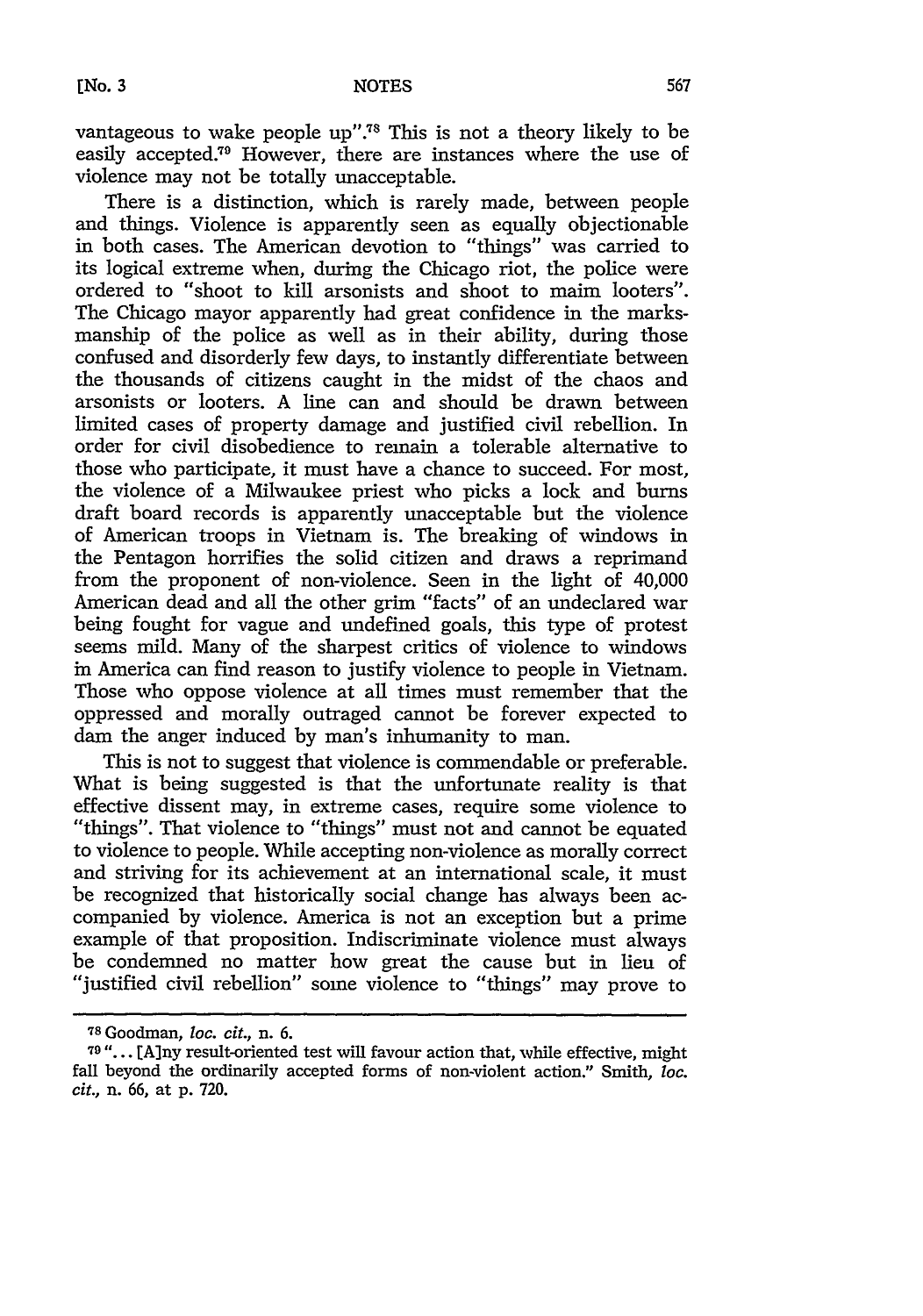vantageous to wake people up".<sup>78</sup> This is not a theory likely to be easily accepted.<sup>79</sup> However, there are instances where the use of violence may not be totally unacceptable.

There is a distinction, which is rarely made, between people and things. Violence is apparently seen as equally objectionable in both cases. The American devotion to "things" was carried to its logical extreme when, during the Chicago riot, the police were ordered to "shoot to kill arsonists and shoot to maim looters". The Chicago mayor apparently had great confidence in the marksmanship of the police as well as in their ability, during those confused and disorderly few days, to instantly differentiate between the thousands of citizens caught in the midst of the chaos and arsonists or looters. A line can and should be drawn between limited cases of property damage and justified civil rebellion. In order for civil disobedience to remain a tolerable alternative to those who participate, it must have a chance to succeed. For most, the violence of a Milwaukee priest who picks a lock and burns draft board records is apparently unacceptable but the violence of American troops in Vietnam is. The breaking of windows in the Pentagon horrifies the solid citizen and draws a reprimand from the proponent of non-violence. Seen in the light of 40,000 American dead and all the other grim "facts" of an undeclared war being fought for vague and undefined goals, this type of protest seems mild. Many of the sharpest critics of violence to windows in America can find reason to justify violence to people in Vietnam. Those who oppose violence at all times must remember that the oppressed and morally outraged cannot be forever expected to dam the anger induced by man's inhumanity to man.

This is not to suggest that violence is commendable or preferable. What is being suggested is that the unfortunate reality is that effective dissent may, in extreme cases, require some violence to "things". That violence to "things" must not and cannot be equated to violence to people. While accepting non-violence as morally correct and striving for its achievement at an international scale, it must be recognized that historically social change has always been accompanied by violence. America is not an exception but a prime example of that proposition. Indiscriminate violence must always be condemned no matter how great the cause but in lieu of "justified civil rebellion" some violence to "things" may prove to

<sup>78</sup> Goodman, *loc. cit.,* n. 6.

**<sup>79</sup>** "... [A]ny result-oriented test will favour action that, while effective, might fall beyond the ordinarily accepted forms of non-violent action." Smith, *loc. cit.,* n. 66, at p. 720.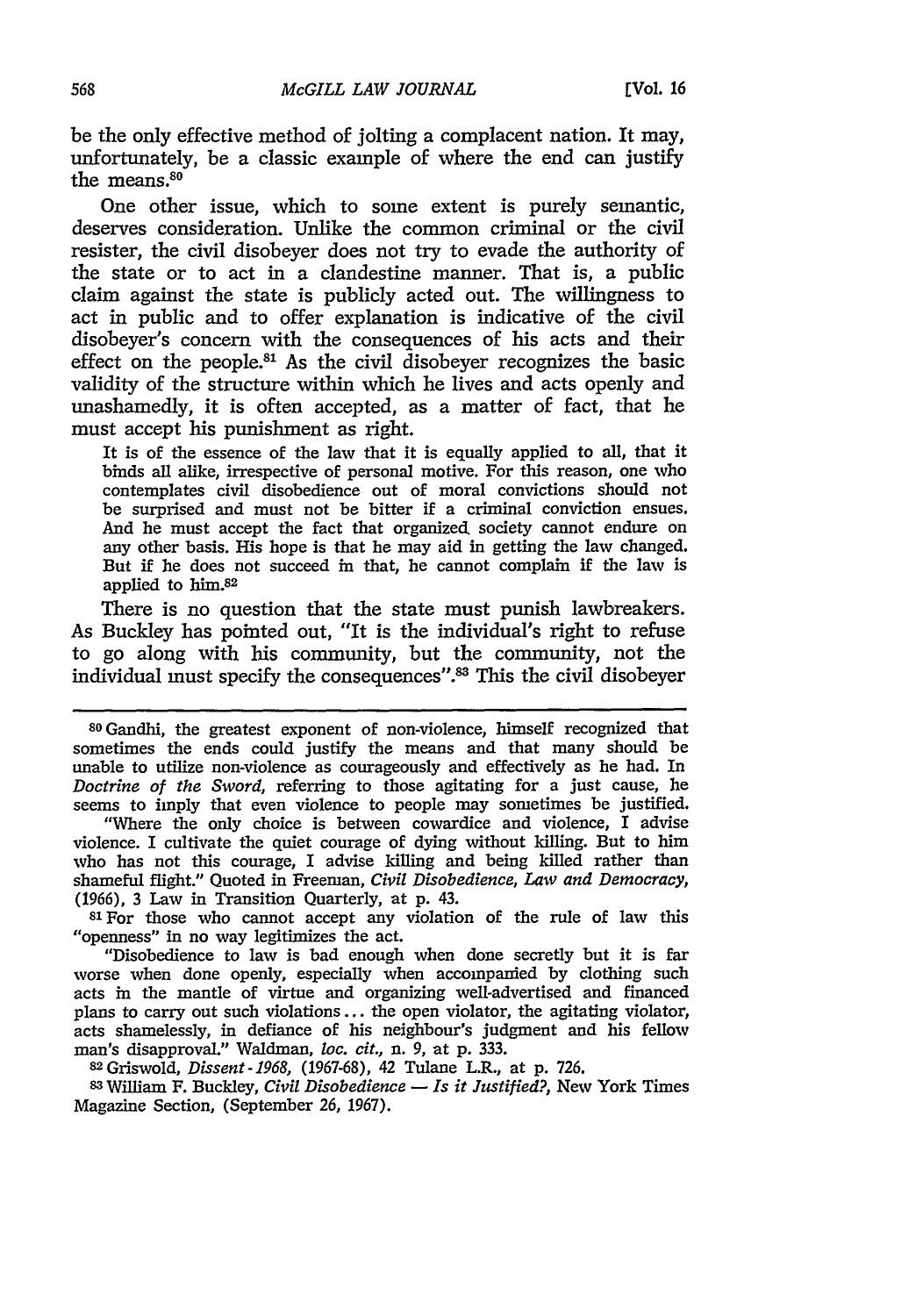be the only effective method of jolting a complacent nation. It may, unfortunately, be a classic example of where the end can justify the means. $80$ 

One other issue, which to some extent is purely semantic, deserves consideration. Unlike the common criminal or the civil resister, the civil disobeyer does not try to evade the authority of the state or to act in a clandestine manner. That is, a public claim against the state is publicly acted out. The willingness to act in public and to offer explanation is indicative of the civil disobeyer's concern with the consequences of his acts and their effect on the people.8' As the civil disobeyer recognizes the basic validity of the structure within which he lives and acts openly and unashamedly, it is often accepted, as a matter of fact, that he must accept his punishment as right.

It is of the essence of the law that it is equally applied to all, that it binds all alike, irrespective of personal motive. For this reason, one who contemplates civil disobedience out of moral convictions should not be surprised and must not be bitter if a criminal conviction ensues. And he must accept the fact that organized. society cannot endure on any other basis. His hope is that he may aid in getting the law changed. But if he does not succeed in that, he cannot complain if the law is applied to **him.82**

There is no question that the state must punish lawbreakers. As Buckley has pointed out, "It is the individual's right to refuse to go along with his community, but the community, not the individual must specify the consequences".<sup>83</sup> This the civil disobeyer

**<sup>80</sup>**Gandhi, the greatest exponent of non-violence, himself recognized that sometimes the ends could justify the means and that many should be unable to utilize non-violence as courageously and effectively as he had. In *Doctrine of the Sword,* referring to those agitating for a just cause, he seems to imply that even violence to people may sometimes be justified.

"Where the only choice is between cowardice and violence, I advise violence. I cultivate the quiet courage of dying without killing. But to him who has not this courage, I advise killing and being killed rather than shameful flight." Quoted in Freeman, *Civil Disobedience, Law and Democracy,* (1966), 3 Law in Transition Quarterly, at p. 43.

81 For those who cannot accept any violation of the rule of law this "openness" in no way legitimizes the act.

"Disobedience to law is bad enough when done secretly but it is far worse when done openly, especially when accompanied by clothing such acts in the mantle of virtue and organizing well-advertised and financed plans to carry out such violations.., the open violator, the agitating violator, acts shamelessly, in defiance of his neighbour's judgment and his fellow man's disapproval." Waldman, *loc. cit., n.* 9, at p. 333.

<sup>82</sup> Grswold, *Dissent-1968,* (1967-68), 42 Tulane L.R., at p. 726.

**83** William F. Buckley, *Civil Disobedience* **-** *Is it Justified?,* New York Times Magazine Section, (September 26, 1967).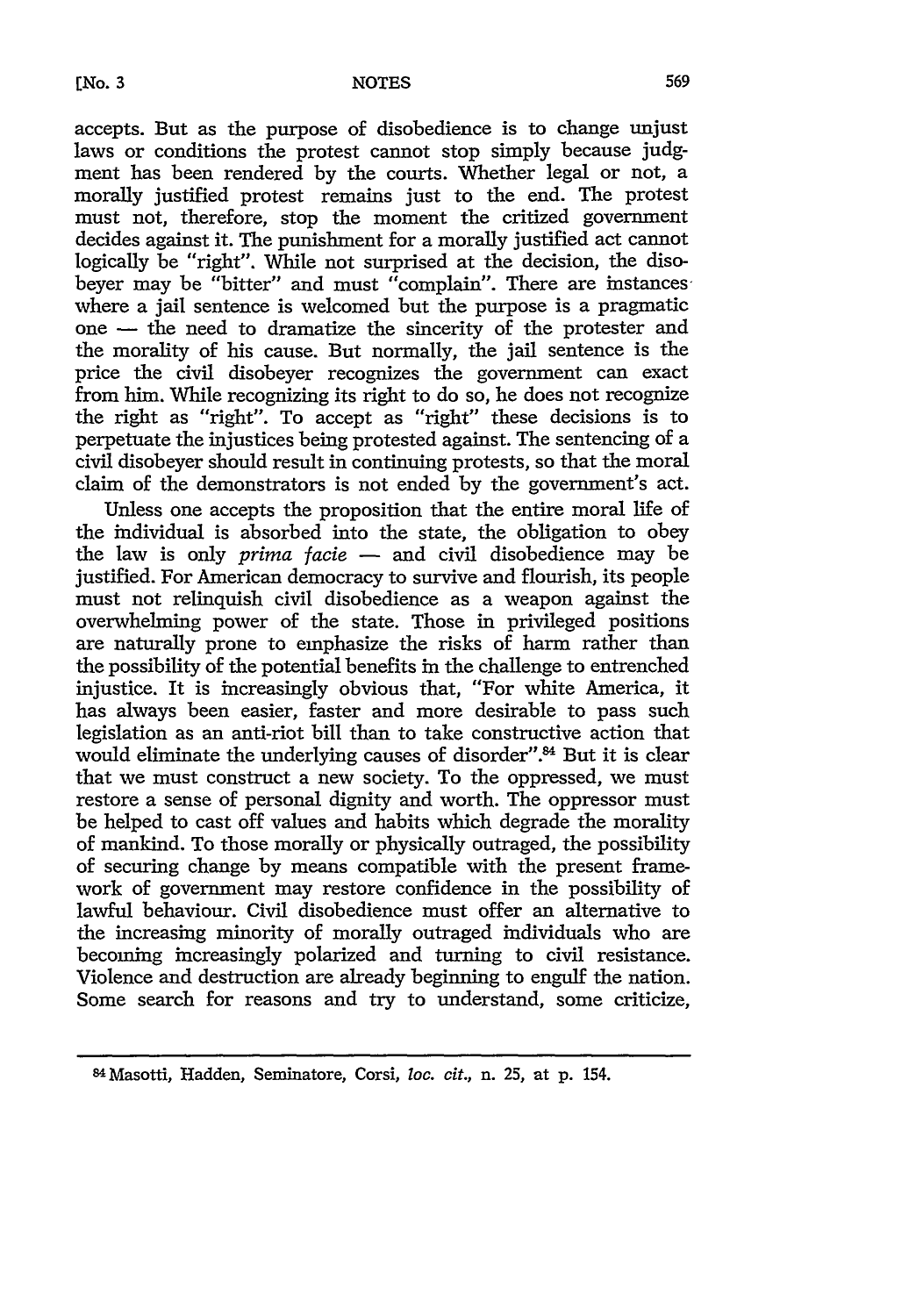accepts. But as the purpose of disobedience is to change unjust laws or conditions the protest cannot stop simply because judgment has been rendered by the courts. Whether legal or not, a morally justified protest remains just to the end. The protest must not, therefore, stop the moment the critized government decides against it. The punishment for a morally justified act cannot logically be "right". While not surprised at the decision, the disobeyer may be "bitter" and must "complain". There are instances where a jail sentence is welcomed but the purpose is a pragmatic one - the need to dramatize the sincerity of the protester and the morality of his cause. But normally, the jail sentence is the price the civil disobeyer recognizes the government can exact from him. While recognizing its right to do so, he does not recognize the right as "right". To accept as "right" these decisions is to perpetuate the injustices being protested against. The sentencing of a civil disobeyer should result in continuing protests, so that the moral claim of the demonstrators is not ended by the government's act.

Unless one accepts the proposition that the entire moral life of the individual is absorbed into the state, the obligation to obey the law is only *prima facie* - and civil disobedience may be justified. For American democracy to survive and flourish, its people must not relinquish civil disobedience as a weapon against the overwhelming power of the state. Those in privileged positions are naturally prone to emphasize the risks of harm rather than the possibility of the potential benefits in the challenge to entrenched injustice. It is increasingly obvious that, "For white America, it has always been easier, faster and more desirable to pass such legislation as an anti-riot bill than to take constructive action that would eliminate the underlying causes of disorder".<sup>84</sup> But it is clear that we must construct a new society. To the oppressed, we must restore a sense of personal dignity and worth. The oppressor must be helped to cast off values and habits which degrade the morality of mankind. To those morally or physically outraged, the possibility of securing change by means compatible with the present framework of government may restore confidence in the possibility of lawful behaviour. Civil disobedience must offer an alternative to the increasing minority of morally outraged individuals who are becoming increasingly polarized and turning to civil resistance. Violence and destruction are already beginning to engulf the nation. Some search for reasons and try to understand, some criticize,

<sup>8</sup> <sup>4</sup> Masotti, Hadden, Seminatore, Corsi, *loc. cit.,* n. 25, at p. 154.